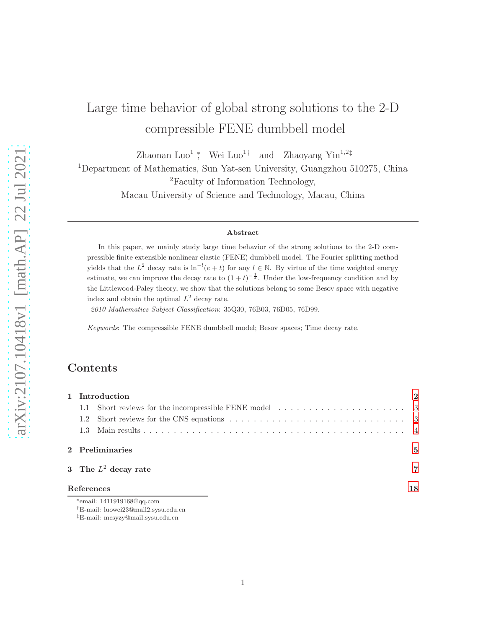# Large time behavior of global strong solutions to the 2-D compressible FENE dumbbell model

Zhaonan Luo<sup>1</sup>; Wei Luo<sup>1†</sup> and Zhaoyang Yin<sup>1,2‡</sup>

<sup>1</sup>Department of Mathematics, Sun Yat-sen University, Guangzhou 510275, China

<sup>2</sup>Faculty of Information Technology,

Macau University of Science and Technology, Macau, China

#### Abstract

In this paper, we mainly study large time behavior of the strong solutions to the 2-D compressible finite extensible nonlinear elastic (FENE) dumbbell model. The Fourier splitting method yields that the  $L^2$  decay rate is  $\ln^{-l}(e+t)$  for any  $l \in \mathbb{N}$ . By virtue of the time weighted energy estimate, we can improve the decay rate to  $(1+t)^{-\frac{1}{4}}$ . Under the low-frequency condition and by the Littlewood-Paley theory, we show that the solutions belong to some Besov space with negative index and obtain the optimal  $L^2$  decay rate.

2010 Mathematics Subject Classification: 35Q30, 76B03, 76D05, 76D99.

Keywords: The compressible FENE dumbbell model; Besov spaces; Time decay rate.

## **Contents**

|            |                 | 1 Introduction                        |                |
|------------|-----------------|---------------------------------------|----------------|
|            |                 |                                       |                |
|            |                 |                                       |                |
|            |                 |                                       |                |
|            | 2 Preliminaries |                                       | $\overline{5}$ |
|            |                 | 3 The $L^2$ decay rate                | 7              |
| References |                 | 18                                    |                |
|            |                 | <sup>*</sup> email: 1411919168@qq.com |                |

<sup>†</sup>E-mail: luowei23@mail2.sysu.edu.cn

<sup>‡</sup>E-mail: mcsyzy@mail.sysu.edu.cn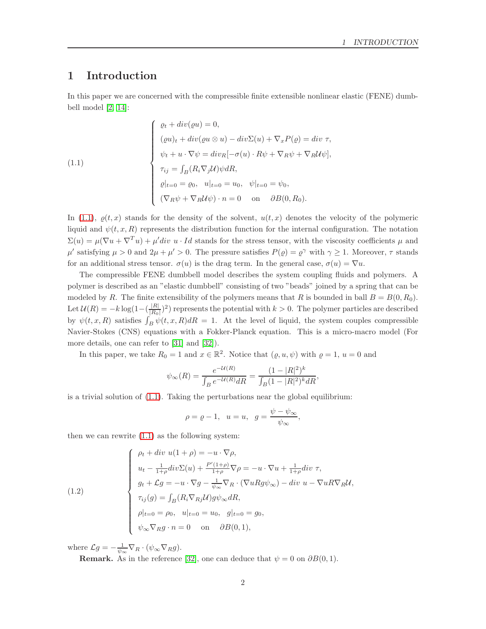## <span id="page-1-0"></span>1 Introduction

In this paper we are concerned with the compressible finite extensible nonlinear elastic (FENE) dumbbell model [\[2,](#page-18-0) [14\]](#page-18-1):

<span id="page-1-1"></span>(1.1)  
\n
$$
\begin{cases}\n\varrho_t + div(\varrho u) = 0, \\
(\varrho u)_t + div(\varrho u \otimes u) - div \Sigma(u) + \nabla_x P(\varrho) = div \tau, \\
\psi_t + u \cdot \nabla \psi = div_R[-\sigma(u) \cdot R\psi + \nabla_R \psi + \nabla_R U \psi], \\
\tau_{ij} = \int_B (R_i \nabla_j U) \psi dR, \\
\varrho|_{t=0} = \varrho_0, \quad u|_{t=0} = u_0, \quad \psi|_{t=0} = \psi_0, \\
(\nabla_R \psi + \nabla_R U \psi) \cdot n = 0 \quad \text{on} \quad \partial B(0, R_0).\n\end{cases}
$$

In [\(1.1\)](#page-1-1),  $\rho(t, x)$  stands for the density of the solvent,  $u(t, x)$  denotes the velocity of the polymeric liquid and  $\psi(t, x, R)$  represents the distribution function for the internal configuration. The notation  $\Sigma(u) = \mu(\nabla u + \nabla^T u) + \mu' div u \cdot Id$  stands for the stress tensor, with the viscosity coefficients  $\mu$  and  $\mu'$  satisfying  $\mu > 0$  and  $2\mu + \mu' > 0$ . The pressure satisfies  $P(\varrho) = \varrho^{\gamma}$  with  $\gamma \geq 1$ . Moreover,  $\tau$  stands for an additional stress tensor.  $\sigma(u)$  is the drag term. In the general case,  $\sigma(u) = \nabla u$ .

The compressible FENE dumbbell model describes the system coupling fluids and polymers. A polymer is described as an "elastic dumbbell" consisting of two "beads" joined by a spring that can be modeled by R. The finite extensibility of the polymers means that R is bounded in ball  $B = B(0, R_0)$ . Let  $\mathcal{U}(R) = -k \log(1-(\frac{|R|}{|R_0|})$  $\frac{|R|}{|R_0|}$ )<sup>2</sup>) represents the potential with  $k > 0$ . The polymer particles are described by  $\psi(t, x, R)$  satisfies  $\int_B \psi(t, x, R) dR = 1$ . At the level of liquid, the system couples compressible Navier-Stokes (CNS) equations with a Fokker-Planck equation. This is a micro-macro model (For more details, one can refer to [\[31\]](#page-20-0) and [\[32\]](#page-20-1)).

In this paper, we take  $R_0 = 1$  and  $x \in \mathbb{R}^2$ . Notice that  $(\varrho, u, \psi)$  with  $\varrho = 1$ ,  $u = 0$  and

$$
\psi_{\infty}(R) = \frac{e^{-\mathcal{U}(R)}}{\int_{B} e^{-\mathcal{U}(R)} dR} = \frac{(1 - |R|^2)^k}{\int_{B} (1 - |R|^2)^k dR},
$$

is a trivial solution of [\(1.1\)](#page-1-1). Taking the perturbations near the global equilibrium:

$$
\rho = \varrho - 1, \quad u = u, \quad g = \frac{\psi - \psi_{\infty}}{\psi_{\infty}},
$$

then we can rewrite  $(1.1)$  as the following system:

<span id="page-1-2"></span>(1.2)  

$$
\begin{cases}\n\rho_t + div \ u(1 + \rho) = -u \cdot \nabla \rho, \\
u_t - \frac{1}{1+\rho} div \Sigma(u) + \frac{P'(1+\rho)}{1+\rho} \nabla \rho = -u \cdot \nabla u + \frac{1}{1+\rho} div \ \tau, \\
g_t + \mathcal{L}g = -u \cdot \nabla g - \frac{1}{\psi_{\infty}} \nabla_R \cdot (\nabla u R g \psi_{\infty}) - div \ u - \nabla u R \nabla_R \mathcal{U}, \\
\tau_{ij}(g) = \int_B (R_i \nabla_{Rj} \mathcal{U}) g \psi_{\infty} dR, \\
\rho|_{t=0} = \rho_0, \ u|_{t=0} = u_0, \ g|_{t=0} = g_0, \\
\psi_{\infty} \nabla_R g \cdot n = 0 \quad \text{on} \quad \partial B(0, 1),\n\end{cases}
$$

where  $\mathcal{L}g = -\frac{1}{\psi_{\infty}} \nabla_R \cdot (\psi_{\infty} \nabla_R g)$ .

**Remark.** As in the reference [\[32\]](#page-20-1), one can deduce that  $\psi = 0$  on  $\partial B(0, 1)$ .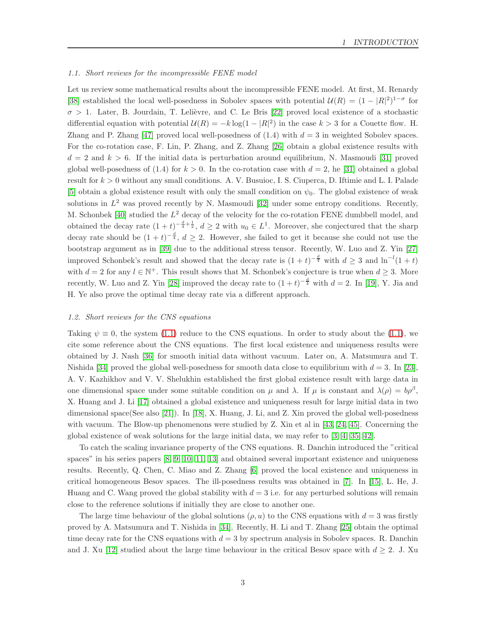#### <span id="page-2-0"></span>1.1. Short reviews for the incompressible FENE model

Let us review some mathematical results about the incompressible FENE model. At first, M. Renardy [\[38\]](#page-20-2) established the local well-posedness in Sobolev spaces with potential  $\mathcal{U}(R) = (1 - |R|^2)^{1-\sigma}$  for  $\sigma > 1$ . Later, B. Jourdain, T. Lelièvre, and C. Le Bris [\[22\]](#page-19-0) proved local existence of a stochastic differential equation with potential  $\mathcal{U}(R) = -k \log(1 - |R|^2)$  in the case  $k > 3$  for a Couette flow. H. Zhang and P. Zhang [\[47\]](#page-20-3) proved local well-posedness of  $(1.4)$  with  $d = 3$  in weighted Sobolev spaces. For the co-rotation case, F. Lin, P. Zhang, and Z. Zhang [\[26\]](#page-19-1) obtain a global existence results with  $d = 2$  and  $k > 6$ . If the initial data is perturbation around equilibrium, N. Masmoudi [\[31\]](#page-20-0) proved global well-posedness of  $(1.4)$  for  $k > 0$ . In the co-rotation case with  $d = 2$ , he [\[31\]](#page-20-0) obtained a global result for  $k > 0$  without any small conditions. A. V. Busuioc, I. S. Ciuperca, D. Iftimie and L. I. Palade [\[5\]](#page-18-2) obtain a global existence result with only the small condition on  $\psi_0$ . The global existence of weak solutions in  $L^2$  was proved recently by N. Masmoudi [\[32\]](#page-20-1) under some entropy conditions. Recently, M. Schonbek [\[40\]](#page-20-4) studied the  $L^2$  decay of the velocity for the co-rotation FENE dumbbell model, and obtained the decay rate  $(1+t)^{-\frac{d}{4}+\frac{1}{2}}$ ,  $d \geq 2$  with  $u_0 \in L^1$ . Moreover, she conjectured that the sharp decay rate should be  $(1 + t)^{-\frac{d}{4}}$ ,  $d \geq 2$ . However, she failed to get it because she could not use the bootstrap argument as in [\[39\]](#page-20-5) due to the additional stress tensor. Recently, W. Luo and Z. Yin [\[27\]](#page-19-2) improved Schonbek's result and showed that the decay rate is  $(1+t)^{-\frac{d}{4}}$  with  $d \geq 3$  and  $\ln^{-l}(1+t)$ with  $d = 2$  for any  $l \in \mathbb{N}^+$ . This result shows that M. Schonbek's conjecture is true when  $d \geq 3$ . More recently, W. Luo and Z. Yin [\[28\]](#page-19-3) improved the decay rate to  $(1+t)^{-\frac{d}{4}}$  with  $d=2$ . In [\[19\]](#page-19-4), Y. Jia and H. Ye also prove the optimal time decay rate via a different approach.

#### <span id="page-2-1"></span>1.2. Short reviews for the CNS equations

Taking  $\psi \equiv 0$ , the system [\(1.1\)](#page-1-1) reduce to the CNS equations. In order to study about the (1.1), we cite some reference about the CNS equations. The first local existence and uniqueness results were obtained by J. Nash [\[36\]](#page-20-6) for smooth initial data without vacuum. Later on, A. Matsumura and T. Nishida [\[34\]](#page-20-7) proved the global well-posedness for smooth data close to equilibrium with  $d = 3$ . In [\[23\]](#page-19-5), A. V. Kazhikhov and V. V. Shelukhin established the first global existence result with large data in one dimensional space under some suitable condition on  $\mu$  and  $\lambda$ . If  $\mu$  is constant and  $\lambda(\rho) = b\rho^{\beta}$ , X. Huang and J. Li [\[17\]](#page-19-6) obtained a global existence and uniqueness result for large initial data in two dimensional space(See also [\[21\]](#page-19-7)). In [\[18\]](#page-19-8), X. Huang, J. Li, and Z. Xin proved the global well-posedness with vacuum. The Blow-up phenomenons were studied by Z. Xin et al in [\[43,](#page-20-8) [24,](#page-19-9) [45\]](#page-20-9). Concerning the global existence of weak solutions for the large initial data, we may refer to [\[3,](#page-18-3) [4,](#page-18-4) [35,](#page-20-10) [42\]](#page-20-11).

To catch the scaling invariance property of the CNS equations. R. Danchin introduced the "critical spaces" in his series papers [\[8,](#page-18-5) [9,](#page-18-6) [10,](#page-18-7) [11,](#page-18-8) [13\]](#page-18-9) and obtained several important existence and uniqueness results. Recently, Q. Chen, C. Miao and Z. Zhang [\[6\]](#page-18-10) proved the local existence and uniqueness in critical homogeneous Besov spaces. The ill-posedness results was obtained in [\[7\]](#page-18-11). In [\[15\]](#page-19-10), L. He, J. Huang and C. Wang proved the global stability with  $d = 3$  i.e. for any perturbed solutions will remain close to the reference solutions if initially they are close to another one.

The large time behaviour of the global solutions  $(\rho, u)$  to the CNS equations with  $d = 3$  was firstly proved by A. Matsumura and T. Nishida in [\[34\]](#page-20-7). Recently, H. Li and T. Zhang [\[25\]](#page-19-11) obtain the optimal time decay rate for the CNS equations with  $d = 3$  by spectrum analysis in Sobolev spaces. R. Danchin and J. Xu [\[12\]](#page-18-12) studied about the large time behaviour in the critical Besov space with  $d \geq 2$ . J. Xu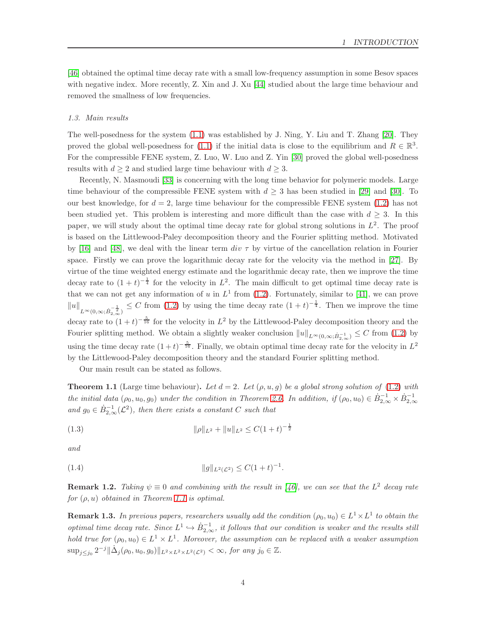[\[46\]](#page-20-12) obtained the optimal time decay rate with a small low-frequency assumption in some Besov spaces with negative index. More recently, Z. Xin and J. Xu [\[44\]](#page-20-13) studied about the large time behaviour and removed the smallness of low frequencies.

#### <span id="page-3-0"></span>1.3. Main results

The well-posedness for the system [\(1.1\)](#page-1-1) was established by J. Ning, Y. Liu and T. Zhang [\[20\]](#page-19-12). They proved the global well-posedness for [\(1.1\)](#page-1-1) if the initial data is close to the equilibrium and  $R \in \mathbb{R}^3$ . For the compressible FENE system, Z. Luo, W. Luo and Z. Yin [\[30\]](#page-19-13) proved the global well-posedness results with  $d \geq 2$  and studied large time behaviour with  $d \geq 3$ .

Recently, N. Masmoudi [\[33\]](#page-20-14) is concerning with the long time behavior for polymeric models. Large time behaviour of the compressible FENE system with  $d \geq 3$  has been studied in [\[29\]](#page-19-14) and [\[30\]](#page-19-13). To our best knowledge, for  $d = 2$ , large time behaviour for the compressible FENE system [\(1.2\)](#page-1-2) has not been studied yet. This problem is interesting and more difficult than the case with  $d \geq 3$ . In this paper, we will study about the optimal time decay rate for global strong solutions in  $L^2$ . The proof is based on the Littlewood-Paley decomposition theory and the Fourier splitting method. Motivated by [\[16\]](#page-19-15) and [\[48\]](#page-21-0), we deal with the linear term div  $\tau$  by virtue of the cancellation relation in Fourier space. Firstly we can prove the logarithmic decay rate for the velocity via the method in [\[27\]](#page-19-2). By virtue of the time weighted energy estimate and the logarithmic decay rate, then we improve the time decay rate to  $(1 + t)^{-\frac{1}{4}}$  for the velocity in  $L^2$ . The main difficult to get optimal time decay rate is that we can not get any information of u in  $L^1$  from [\(1.2\)](#page-1-2). Fortunately, similar to [\[41\]](#page-20-15), we can prove  $||u||_{L^{\infty}(0,\infty;\dot{B}_{2,\infty}^{-\frac{1}{2}})} \leq C$  from [\(1.2\)](#page-1-2) by using the time decay rate  $(1+t)^{-\frac{1}{4}}$ . Then we improve the time decay rate to  $(1+t)^{-\frac{5}{16}}$  for the velocity in  $L^2$  by the Littlewood-Paley decomposition theory and the Fourier splitting method. We obtain a slightly weaker conclusion  $||u||_{L^{\infty}(0,\infty;\dot{B}_{2,\infty}^{-1})} \leq C$  from [\(1.2\)](#page-1-2) by using the time decay rate  $(1+t)^{-\frac{5}{16}}$ . Finally, we obtain optimal time decay rate for the velocity in  $L^2$ by the Littlewood-Paley decomposition theory and the standard Fourier splitting method.

Our main result can be stated as follows.

<span id="page-3-1"></span>**Theorem 1.1** (Large time behaviour). Let  $d = 2$ . Let  $(\rho, u, g)$  be a global strong solution of [\(1.2\)](#page-1-2) with the initial data  $(\rho_0, u_0, g_0)$  under the condition in Theorem [2.6.](#page-5-0) In addition, if  $(\rho_0, u_0) \in \dot{B}_{2,\infty}^{-1} \times \dot{B}_{2,\infty}^{-1}$ and  $g_0 \in \dot{B}_{2,\infty}^{-1}(\mathcal{L}^2)$ , then there exists a constant C such that

(1.3) 
$$
\|\rho\|_{L^2} + \|u\|_{L^2} \le C(1+t)^{-\frac{1}{2}}
$$

and

(1.4) 
$$
||g||_{L^2(\mathcal{L}^2)} \leq C(1+t)^{-1}.
$$

**Remark 1.2.** Taking  $\psi \equiv 0$  and combining with the result in [\[46\]](#page-20-12), we can see that the L<sup>2</sup> decay rate for  $(\rho, u)$  obtained in Theorem [1.1](#page-3-1) is optimal.

**Remark 1.3.** In previous papers, researchers usually add the condition  $(\rho_0, u_0) \in L^1 \times L^1$  to obtain the optimal time decay rate. Since  $L^1 \hookrightarrow \dot{B}_{2,\infty}^{-1}$ , it follows that our condition is weaker and the results still hold true for  $(\rho_0, u_0) \in L^1 \times L^1$ . Moreover, the assumption can be replaced with a weaker assumption  $\sup_{j \le j_0} 2^{-j} \|\dot{\Delta}_j(\rho_0, u_0, g_0)\|_{L^2 \times L^2 \times L^2(\mathcal{L}^2)} < \infty$ , for any  $j_0 \in \mathbb{Z}$ .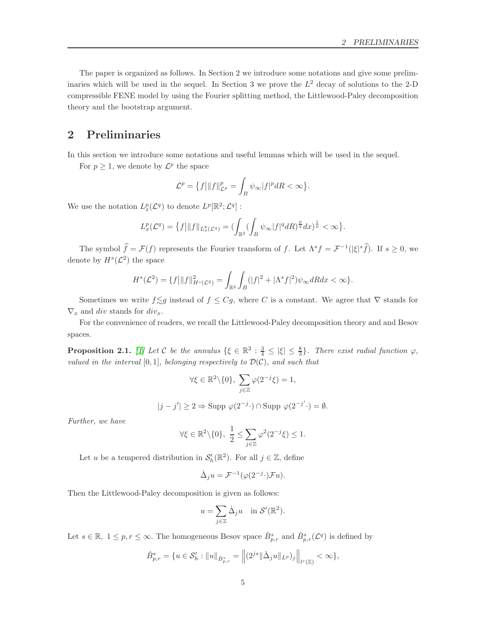The paper is organized as follows. In Section 2 we introduce some notations and give some preliminaries which will be used in the sequel. In Section 3 we prove the  $L^2$  decay of solutions to the 2-D compressible FENE model by using the Fourier splitting method, the Littlewood-Paley decomposition theory and the bootstrap argument.

### <span id="page-4-0"></span>2 Preliminaries

In this section we introduce some notations and useful lemmas which will be used in the sequel.

For  $p \geq 1$ , we denote by  $\mathcal{L}^p$  the space

$$
\mathcal{L}^p = \{f \big| \|f\|_{\mathcal{L}^p}^p = \int_B \psi_\infty |f|^p dR < \infty \}.
$$

We use the notation  $L_x^p(\mathcal{L}^q)$  to denote  $L^p[\mathbb{R}^2; \mathcal{L}^q]$ :

$$
L^p_x(\mathcal{L}^q)=\big\{f\big|\|f\|_{L^p_x(\mathcal{L}^q)}=(\int_{\mathbb{R}^2}(\int_B\psi_\infty|f|^q dR)^{\frac{p}{q}}dx)^{\frac{1}{p}}<\infty\big\}.
$$

The symbol  $\hat{f} = \mathcal{F}(f)$  represents the Fourier transform of f. Let  $\Lambda^s f = \mathcal{F}^{-1}(|\xi|^s \hat{f})$ . If  $s \geq 0$ , we denote by  $H^s(\mathcal{L}^2)$  the space

$$
H^{s}(\mathcal{L}^{2}) = \{f\left|\|f\|_{H^{s}(\mathcal{L}^{2})}^{2} = \int_{\mathbb{R}^{2}} \int_{B} (|f|^{2} + |\Lambda^{s} f|^{2}) \psi_{\infty} dR dx < \infty \}.
$$

Sometimes we write  $f \leq g$  instead of  $f \leq Cg$ , where C is a constant. We agree that  $\nabla$  stands for  $\nabla_x$  and div stands for div<sub>x</sub>.

For the convenience of readers, we recall the Littlewood-Paley decomposition theory and and Besov spaces.

<span id="page-4-1"></span>**Proposition 2.1.** [\[1\]](#page-18-13) Let C be the annulus  $\{\xi \in \mathbb{R}^2 : \frac{3}{4} \leq |\xi| \leq \frac{8}{3}\}$ . There exist radial function  $\varphi$ , valued in the interval  $[0, 1]$ , belonging respectively to  $\mathcal{D}(\mathcal{C})$ , and such that

$$
\forall \xi \in \mathbb{R}^2 \backslash \{0\}, \ \sum_{j \in \mathbb{Z}} \varphi(2^{-j}\xi) = 1,
$$

$$
|j - j'| \ge 2 \Rightarrow \text{Supp }\varphi(2^{-j} \cdot) \cap \text{Supp }\varphi(2^{-j'} \cdot) = \emptyset.
$$

Further, we have

$$
\forall \xi \in \mathbb{R}^2 \setminus \{0\}, \ \frac{1}{2} \le \sum_{j \in \mathbb{Z}} \varphi^2(2^{-j}\xi) \le 1.
$$

Let u be a tempered distribution in  $\mathcal{S}'_h(\mathbb{R}^2)$ . For all  $j \in \mathbb{Z}$ , define

$$
\dot{\Delta}_j u = \mathcal{F}^{-1}(\varphi(2^{-j} \cdot) \mathcal{F} u).
$$

Then the Littlewood-Paley decomposition is given as follows:

$$
u = \sum_{j \in \mathbb{Z}} \dot{\Delta}_j u \quad \text{in } \mathcal{S}'(\mathbb{R}^2).
$$

Let  $s \in \mathbb{R}, 1 \leq p, r \leq \infty$ . The homogeneous Besov space  $\dot{B}_{p,r}^s$  and  $\dot{B}_{p,r}^s(\mathcal{L}^q)$  is defined by

$$
\dot{B}_{p,r}^s = \{ u \in \mathcal{S}'_h : \|u\|_{\dot{B}_{p,r}^s} = \left\| (2^{js} \|\dot{\Delta}_j u\|_{L^p})_j \right\|_{l^r(\mathbb{Z})} < \infty \},
$$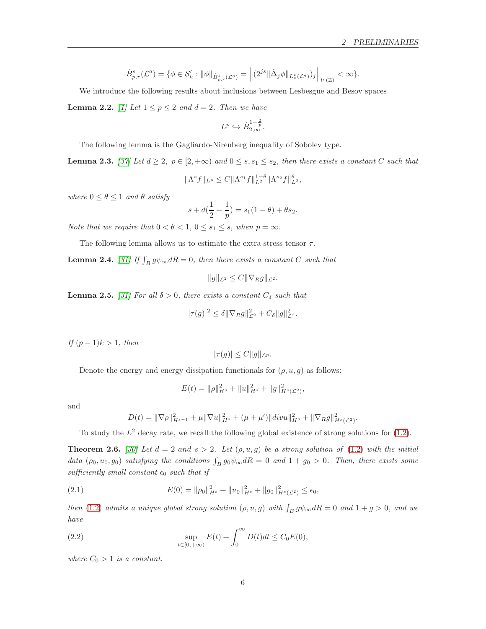$$
\dot{B}_{p,r}^{s}(\mathcal{L}^{q}) = \{ \phi \in \mathcal{S}_{h}' : \|\phi\|_{\dot{B}_{p,r}^{s}(\mathcal{L}^{q})} = \left\| (2^{js} \|\dot{\Delta}_{j} \phi\|_{L_{x}^{p}(\mathcal{L}^{q})})_{j} \right\|_{l^{r}(\mathbb{Z})} < \infty \}.
$$

We introduce the following results about inclusions between Lesbesgue and Besov spaces

<span id="page-5-3"></span>**Lemma 2.2.** [\[1\]](#page-18-13) Let  $1 \leq p \leq 2$  and  $d = 2$ . Then we have

$$
L^p \hookrightarrow \dot{B}_{2,\infty}^{1-\frac{2}{p}}.
$$

The following lemma is the Gagliardo-Nirenberg inequality of Sobolev type.

<span id="page-5-4"></span>**Lemma 2.3.** [\[37\]](#page-20-16) Let  $d \geq 2$ ,  $p \in [2, +\infty)$  and  $0 \leq s$ ,  $s_1 \leq s_2$ , then there exists a constant C such that

$$
\|\Lambda^s f\|_{L^p} \leq C \|\Lambda^{s_1} f\|_{L^2}^{1-\theta} \|\Lambda^{s_2} f\|_{L^2}^{\theta},
$$

where  $0 \le \theta \le 1$  and  $\theta$  satisfy

$$
s + d(\frac{1}{2} - \frac{1}{p}) = s_1(1 - \theta) + \theta s_2.
$$

Note that we require that  $0 < \theta < 1, 0 \le s_1 \le s$ , when  $p = \infty$ .

The following lemma allows us to estimate the extra stress tensor  $\tau$ .

<span id="page-5-1"></span>**Lemma 2.4.** [\[31\]](#page-20-0) If  $\int_B g \psi_\infty dR = 0$ , then there exists a constant C such that

$$
||g||_{\mathcal{L}^2} \leq C||\nabla_R g||_{\mathcal{L}^2}.
$$

<span id="page-5-2"></span>**Lemma 2.5.** [\[31\]](#page-20-0) For all  $\delta > 0$ , there exists a constant  $C_{\delta}$  such that

$$
|\tau(g)|^2 \le \delta \|\nabla_R g\|_{\mathcal{L}^2}^2 + C_{\delta} \|g\|_{\mathcal{L}^2}^2.
$$

*If*  $(p − 1)k > 1$ , then

$$
|\tau(g)| \le C ||g||_{\mathcal{L}^p}.
$$

Denote the energy and energy dissipation functionals for  $(\rho, u, g)$  as follows:

$$
E(t) = \|\rho\|_{H^s}^2 + \|u\|_{H^s}^2 + \|g\|_{H^s(\mathcal{L}^2)}^2,
$$

and

$$
D(t) = \|\nabla \rho\|_{H^{s-1}}^2 + \mu \|\nabla u\|_{H^s}^2 + (\mu + \mu')\|div u\|_{H^s}^2 + \|\nabla_R g\|_{H^s(\mathcal{L}^2)}^2.
$$

To study the  $L^2$  decay rate, we recall the following global existence of strong solutions for [\(1.2\)](#page-1-2).

<span id="page-5-0"></span>**Theorem 2.6.** [\[30\]](#page-19-13) Let  $d = 2$  and  $s > 2$ . Let  $(\rho, u, g)$  be a strong solution of [\(1.2\)](#page-1-2) with the initial data  $(\rho_0, u_0, g_0)$  satisfying the conditions  $\int_B g_0 \psi_\infty dR = 0$  and  $1 + g_0 > 0$ . Then, there exists some sufficiently small constant  $\epsilon_0$  such that if

(2.1) 
$$
E(0) = \|\rho_0\|_{H^s}^2 + \|u_0\|_{H^s}^2 + \|g_0\|_{H^s(\mathcal{L}^2)}^2 \leq \epsilon_0,
$$

then [\(1.2\)](#page-1-2) admits a unique global strong solution  $(\rho, u, g)$  with  $\int_B g \psi_\infty dR = 0$  and  $1 + g > 0$ , and we have

(2.2) 
$$
\sup_{t \in [0, +\infty)} E(t) + \int_0^{\infty} D(t)dt \le C_0 E(0),
$$

where  $C_0 > 1$  is a constant.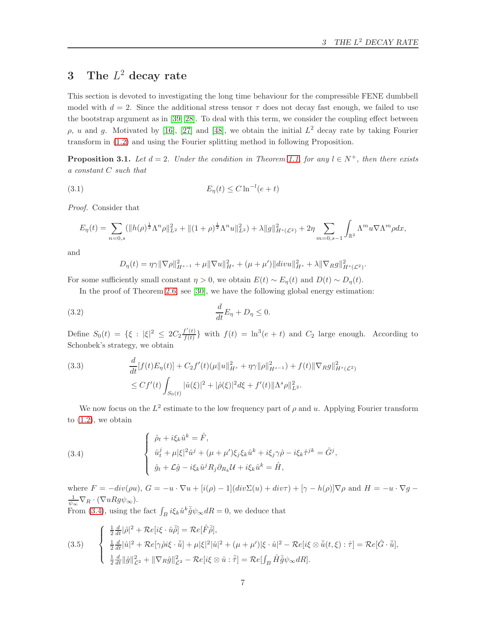## <span id="page-6-0"></span>3 The  $L^2$  decay rate

This section is devoted to investigating the long time behaviour for the compressible FENE dumbbell model with  $d = 2$ . Since the additional stress tensor  $\tau$  does not decay fast enough, we failed to use the bootstrap argument as in [\[39,](#page-20-5) [28\]](#page-19-3). To deal with this term, we consider the coupling effect between ρ, *u* and *g*. Motivated by [\[16\]](#page-19-15), [\[27\]](#page-19-2) and [\[48\]](#page-21-0), we obtain the initial  $L^2$  decay rate by taking Fourier transform in [\(1.2\)](#page-1-2) and using the Fourier splitting method in following Proposition.

<span id="page-6-3"></span>**Proposition 3.1.** Let  $d = 2$ . Under the condition in Theorem [1.1,](#page-3-1) for any  $l \in N^+$ , then there exists a constant C such that

(3.1) 
$$
E_{\eta}(t) \le C \ln^{-1}(e+t)
$$

Proof. Consider that

$$
E_{\eta}(t) = \sum_{n=0,s} (\|h(\rho)^{\frac{1}{2}} \Lambda^n \rho\|_{L^2}^2 + \|(1+\rho)^{\frac{1}{2}} \Lambda^n u\|_{L^2}^2) + \lambda \|g\|_{H^s(\mathcal{L}^2)}^2 + 2\eta \sum_{m=0,s-1} \int_{\mathbb{R}^2} \Lambda^m u \nabla \Lambda^m \rho dx,
$$

and

$$
D_{\eta}(t) = \eta \gamma \|\nabla \rho\|_{H^{s-1}}^2 + \mu \|\nabla u\|_{H^s}^2 + (\mu + \mu')\|div\|_{H^s}^2 + \lambda \|\nabla_R g\|_{H^s(\mathcal{L}^2)}^2.
$$

For some sufficiently small constant  $\eta > 0$ , we obtain  $E(t) \sim E_n(t)$  and  $D(t) \sim D_n(t)$ .

In the proof of Theorem [2.6,](#page-5-0) see [\[30\]](#page-19-13), we have the following global energy estimation:

<span id="page-6-4"></span>
$$
\frac{d}{dt}E_{\eta} + D_{\eta} \le 0.
$$

Define  $S_0(t) = {\xi : |\xi|^2 \leq 2C_2 \frac{f'(t)}{f(t)}}$  $f'(t)$  with  $f(t) = \ln^3(e+t)$  and  $C_2$  large enough. According to Schonbek's strategy, we obtain

<span id="page-6-2"></span>(3.3) 
$$
\frac{d}{dt}[f(t)E_{\eta}(t)] + C_2f'(t)(\mu\|u\|_{H^s}^2 + \eta\gamma\|\rho\|_{H^{s-1}}^2) + f(t)\|\nabla_R g\|_{H^s(\mathcal{L}^2)}^2
$$

$$
\leq Cf'(t)\int_{S_0(t)}|\hat{u}(\xi)|^2 + |\hat{\rho}(\xi)|^2 d\xi + f'(t)\|\Lambda^s \rho\|_{L^2}^2.
$$

We now focus on the  $L^2$  estimate to the low frequency part of  $\rho$  and u. Applying Fourier transform to  $(1.2)$ , we obtain

<span id="page-6-1"></span>(3.4)  

$$
\begin{cases}\n\hat{\rho}_t + i\xi_k \hat{u}^k = \hat{F}, \\
\hat{u}^j_t + \mu |\xi|^2 \hat{u}^j + (\mu + \mu') \xi_j \xi_k \hat{u}^k + i\xi_j \gamma \hat{\rho} - i\xi_k \hat{\tau}^{jk} = \hat{G}^j, \\
\hat{g}_t + \mathcal{L}\hat{g} - i\xi_k \hat{u}^j R_j \partial_{R_k} \mathcal{U} + i\xi_k \hat{u}^k = \hat{H},\n\end{cases}
$$

where  $F = -div(\rho u)$ ,  $G = -u \cdot \nabla u + [i(\rho) - 1](div\Sigma(u) + div\tau) + [\gamma - h(\rho)]\nabla \rho$  and  $H = -u \cdot \nabla g$  $\frac{1}{\psi_{\infty}}\nabla_R\cdot(\nabla uRg\psi_{\infty}).$ From [\(3.4\)](#page-6-1), using the fact  $\int_B i\xi_k \hat{u}^k \bar{\hat{g}} \psi_\infty dR = 0$ , we deduce that

(3.5) 
$$
\begin{cases} \frac{1}{2}\frac{d}{dt}|\hat{\rho}|^{2} + \mathcal{R}e[i\zeta \cdot \hat{u}\bar{\hat{\rho}}] = \mathcal{R}e[\hat{F}\bar{\hat{\rho}}],\\ \frac{1}{2}\frac{d}{dt}|\hat{u}|^{2} + \mathcal{R}e[\gamma\hat{\rho}i\xi \cdot \bar{\hat{u}}] + \mu|\xi|^{2}|\hat{u}|^{2} + (\mu + \mu')|\xi \cdot \hat{u}|^{2} - \mathcal{R}e[i\xi \otimes \bar{\hat{u}}(t,\xi) : \hat{\tau}] = \mathcal{R}e[\hat{G} \cdot \bar{\hat{u}}],\\ \frac{1}{2}\frac{d}{dt}\|\hat{g}\|_{\mathcal{L}^{2}}^{2} + \|\nabla_{R}\hat{g}\|_{\mathcal{L}^{2}}^{2} - \mathcal{R}e[i\xi \otimes \hat{u} : \bar{\hat{\tau}}] = \mathcal{R}e[\int_{B}\hat{H}\bar{\hat{g}}\psi_{\infty}dR]. \end{cases}
$$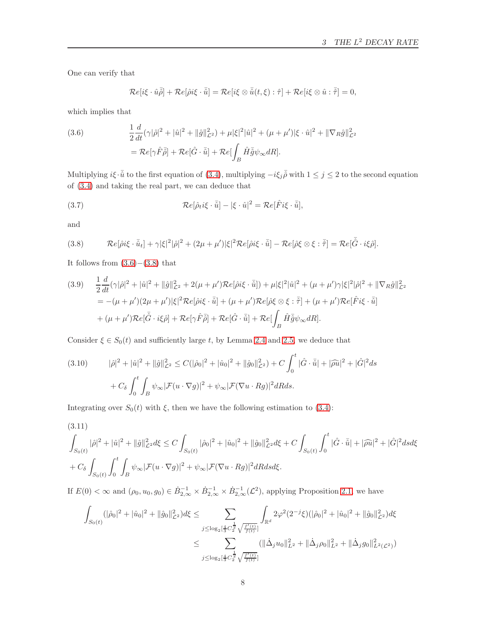One can verify that

$$
\mathcal{R}e[i\xi\cdot\hat{u}\bar{\hat{\rho}}]+\mathcal{R}e[\hat{\rho} i\xi\cdot\bar{\hat{u}}]=\mathcal{R}e[i\xi\otimes\bar{\hat{u}}(t,\xi):\hat{\tau}]+\mathcal{R}e[i\xi\otimes\hat{u}:\bar{\hat{\tau}}]=0,
$$

which implies that

<span id="page-7-0"></span>(3.6) 
$$
\frac{1}{2}\frac{d}{dt}(\gamma|\hat{\rho}|^2 + |\hat{u}|^2 + ||\hat{g}||^2_{\mathcal{L}^2}) + \mu|\xi|^2|\hat{u}|^2 + (\mu + \mu')|\xi \cdot \hat{u}|^2 + ||\nabla_R \hat{g}||^2_{\mathcal{L}^2}
$$

$$
= \mathcal{R}e[\gamma \hat{F}\bar{\rho}] + \mathcal{R}e[\hat{G} \cdot \bar{\hat{u}}] + \mathcal{R}e[\int_B \hat{H}\bar{\hat{g}}\psi_\infty dR].
$$

Multiplying  $i\xi \cdot \bar{\hat{u}}$  to the first equation of [\(3.4\)](#page-6-1), multiplying  $-i\xi_j\bar{\hat{\rho}}$  with  $1 \leq j \leq 2$  to the second equation of [\(3.4\)](#page-6-1) and taking the real part, we can deduce that

(3.7) 
$$
\mathcal{R}e[\hat{\rho}_t i \xi \cdot \bar{\hat{u}}] - |\xi \cdot \hat{u}|^2 = \mathcal{R}e[\hat{F} i \xi \cdot \bar{\hat{u}}],
$$

and

<span id="page-7-1"></span>(3.8) 
$$
\mathcal{R}e[\hat{\rho}i\xi \cdot \bar{\hat{u}}_t] + \gamma |\xi|^2 |\hat{\rho}|^2 + (2\mu + \mu')|\xi|^2 \mathcal{R}e[\hat{\rho}i\xi \cdot \bar{\hat{u}}] - \mathcal{R}e[\hat{\rho}\xi \otimes \xi : \bar{\hat{\tau}}] = \mathcal{R}e[\bar{\hat{G}} \cdot i\xi \hat{\rho}].
$$

It follows from  $(3.6)–(3.8)$  $(3.6)–(3.8)$  that

(3.9) 
$$
\frac{1}{2} \frac{d}{dt} (\gamma |\hat{\rho}|^2 + |\hat{u}|^2 + ||\hat{g}||^2_{\mathcal{L}^2} + 2(\mu + \mu') \mathcal{R}e[\hat{\rho} i\xi \cdot \bar{\hat{u}}] ) + \mu |\xi|^2 |\hat{u}|^2 + (\mu + \mu') \gamma |\xi|^2 |\hat{\rho}|^2 + ||\nabla_R \hat{g}||^2_{\mathcal{L}^2}
$$
  
\n
$$
= -(\mu + \mu')(2\mu + \mu') |\xi|^2 \mathcal{R}e[\hat{\rho} i\xi \cdot \bar{\hat{u}}] + (\mu + \mu') \mathcal{R}e[\hat{\rho}\xi \otimes \xi \cdot \bar{\hat{\tau}}] + (\mu + \mu') \mathcal{R}e[\hat{F} i\xi \cdot \bar{\hat{u}}]
$$
  
\n
$$
+ (\mu + \mu') \mathcal{R}e[\bar{\hat{G}} \cdot i\xi \hat{\rho}] + \mathcal{R}e[\gamma \hat{F}\bar{\hat{\rho}}] + \mathcal{R}e[\hat{G} \cdot \bar{\hat{u}}] + \mathcal{R}e[\int_B \hat{H} \bar{\hat{g}} \psi_\infty dR].
$$

Consider  $\xi \in S_0(t)$  and sufficiently large t, by Lemma [2.4](#page-5-1) and [2.5,](#page-5-2) we deduce that

<span id="page-7-3"></span>(3.10) 
$$
|\hat{\rho}|^2 + |\hat{u}|^2 + ||\hat{g}||^2_{\mathcal{L}^2} \leq C(|\hat{\rho}_0|^2 + |\hat{u}_0|^2 + ||\hat{g}_0||^2_{\mathcal{L}^2}) + C \int_0^t |\hat{G} \cdot \bar{\hat{u}}| + |\hat{\rho}\hat{u}|^2 + |\hat{G}|^2 ds
$$

$$
+ C_\delta \int_0^t \int_B \psi_\infty |\mathcal{F}(u \cdot \nabla g)|^2 + \psi_\infty |\mathcal{F}(\nabla u \cdot Rg)|^2 dR ds.
$$

Integrating over  $S_0(t)$  with  $\xi$ , then we have the following estimation to [\(3.4\)](#page-6-1):

<span id="page-7-2"></span>(3.11)  
\n
$$
\int_{S_0(t)} |\hat{\rho}|^2 + |\hat{u}|^2 + ||\hat{g}||_{\mathcal{L}^2}^2 d\xi \le C \int_{S_0(t)} |\hat{\rho}_0|^2 + |\hat{u}_0|^2 + ||\hat{g}_0||_{\mathcal{L}^2}^2 d\xi + C \int_{S_0(t)} \int_0^t |\hat{G} \cdot \bar{\hat{u}}| + |\hat{\rho}\hat{u}|^2 + |\hat{G}|^2 ds d\xi
$$
\n
$$
+ C_\delta \int_{S_0(t)} \int_0^t \int_B \psi_\infty |\mathcal{F}(u \cdot \nabla g)|^2 + \psi_\infty |\mathcal{F}(\nabla u \cdot Rg)|^2 dR ds d\xi.
$$

If  $E(0) < \infty$  and  $(\rho_0, u_0, g_0) \in \dot{B}_{2,\infty}^{-1} \times \dot{B}_{2,\infty}^{-1} \times \dot{B}_{2,\infty}^{-1}(\mathcal{L}^2)$ , applying Proposition [2.1,](#page-4-1) we have

$$
\int_{S_0(t)} (|\hat{\rho}_0|^2 + |\hat{u}_0|^2 + \|\hat{g}_0\|_{\mathcal{L}^2}^2) d\xi \le \sum_{j \le \log_2[\frac{4}{3}C_2^{\frac{1}{2}} \sqrt{\frac{f'(t)}{f(t)}}]} \int_{\mathbb{R}^d} 2\varphi^2 (2^{-j}\xi)(|\hat{\rho}_0|^2 + |\hat{u}_0|^2 + \|\hat{g}_0\|_{\mathcal{L}^2}^2) d\xi
$$
  

$$
\le \sum_{j \le \log_2[\frac{4}{3}C_2^{\frac{1}{2}} \sqrt{\frac{f'(t)}{f(t)}}]} (||\Delta_j u_0||_{L^2}^2 + ||\Delta_j \rho_0||_{L^2}^2 + ||\Delta_j g_0||_{L^2(\mathcal{L}^2)}^2)
$$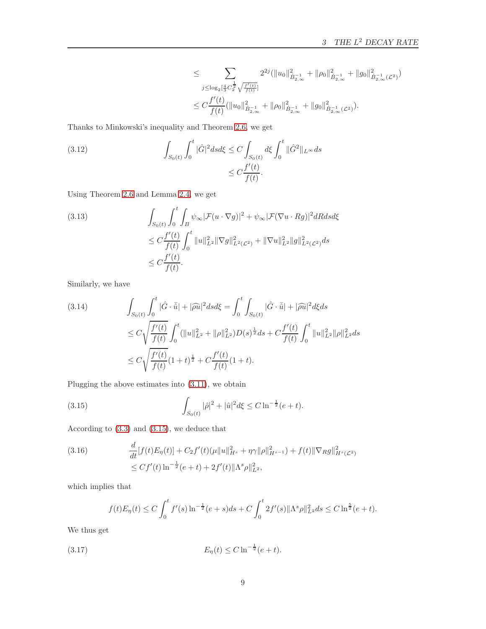$$
\leq \sum_{j \leq \log_2\left[\frac{4}{3}C_2^{\frac{1}{2}}\sqrt{\frac{f'(t)}{f(t)}}\right]} 2^{2j} \left(\|u_0\|_{\dot{B}_{2,\infty}^{-1}}^2 + \|\rho_0\|_{\dot{B}_{2,\infty}^{-1}}^2 + \|g_0\|_{\dot{B}_{2,\infty}^{-1}}^2(c^2)\right)
$$
  

$$
\leq C \frac{f'(t)}{f(t)} \left(\|u_0\|_{\dot{B}_{2,\infty}^{-1}}^2 + \|\rho_0\|_{\dot{B}_{2,\infty}^{-1}}^2 + \|g_0\|_{\dot{B}_{2,\infty}^{-1}}^2(c^2)\right).
$$

Thanks to Minkowski's inequality and Theorem [2.6,](#page-5-0) we get

(3.12) 
$$
\int_{S_0(t)} \int_0^t |\hat{G}|^2 ds d\xi \le C \int_{S_0(t)} d\xi \int_0^t \|\hat{G}^2\|_{L^\infty} ds
$$

$$
\le C \frac{f'(t)}{f(t)}.
$$

Using Theorem [2.6](#page-5-0) and Lemma [2.4,](#page-5-1) we get

(3.13) 
$$
\int_{S_0(t)} \int_0^t \int_B \psi_\infty |\mathcal{F}(u \cdot \nabla g)|^2 + \psi_\infty |\mathcal{F}(\nabla u \cdot Rg)|^2 dR ds d\xi
$$
  
\n
$$
\leq C \frac{f'(t)}{f(t)} \int_0^t \|u\|_{L^2}^2 \|\nabla g\|_{L^2(\mathcal{L}^2)}^2 + \|\nabla u\|_{L^2}^2 \|g\|_{L^2(\mathcal{L}^2)}^2 ds
$$
  
\n
$$
\leq C \frac{f'(t)}{f(t)}.
$$

Similarly, we have

<span id="page-8-2"></span>
$$
(3.14) \qquad \int_{S_0(t)} \int_0^t |\hat{G} \cdot \bar{\hat{u}}| + |\widehat{\rho u}|^2 ds d\xi = \int_0^t \int_{S_0(t)} |\hat{G} \cdot \bar{\hat{u}}| + |\widehat{\rho u}|^2 d\xi ds
$$
  

$$
\leq C \sqrt{\frac{f'(t)}{f(t)}} \int_0^t (||u||_{L^2}^2 + ||\rho||_{L^2}^2) D(s)^{\frac{1}{2}} ds + C \frac{f'(t)}{f(t)} \int_0^t ||u||_{L^2}^2 ||\rho||_{L^2}^2 ds
$$
  

$$
\leq C \sqrt{\frac{f'(t)}{f(t)}} (1+t)^{\frac{1}{2}} + C \frac{f'(t)}{f(t)} (1+t).
$$

Plugging the above estimates into [\(3.11\)](#page-7-2), we obtain

<span id="page-8-0"></span>(3.15) 
$$
\int_{S_0(t)} |\hat{\rho}|^2 + |\hat{u}|^2 d\xi \le C \ln^{-\frac{1}{2}}(e+t).
$$

According to [\(3.3\)](#page-6-2) and [\(3.15\)](#page-8-0), we deduce that

(3.16) 
$$
\frac{d}{dt}[f(t)E_{\eta}(t)] + C_2f'(t)(\mu||u||_{H^s}^2 + \eta\gamma||\rho||_{H^{s-1}}^2) + f(t)||\nabla_R g||_{H^s(\mathcal{L}^2)}^2
$$

$$
\leq Cf'(t)\ln^{-\frac{1}{2}}(e+t) + 2f'(t)||\Lambda^s\rho||_{L^2}^2,
$$

which implies that

$$
f(t)E_{\eta}(t) \leq C \int_0^t f'(s) \ln^{-\frac{1}{2}}(e+s)ds + C \int_0^t 2f'(s) \|\Lambda^s \rho\|_{L^2}^2 ds \leq C \ln^{\frac{5}{2}}(e+t).
$$

We thus get

<span id="page-8-1"></span>(3.17) 
$$
E_{\eta}(t) \leq C \ln^{-\frac{1}{2}}(e+t).
$$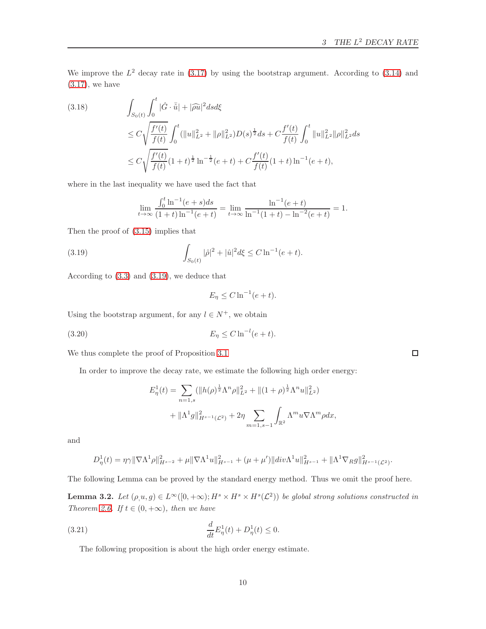We improve the  $L^2$  decay rate in [\(3.17\)](#page-8-1) by using the bootstrap argument. According to [\(3.14\)](#page-8-2) and  $(3.17)$ , we have

(3.18) 
$$
\int_{S_0(t)} \int_0^t |\hat{G} \cdot \bar{\hat{u}}| + |\hat{\rho} \hat{u}|^2 ds d\xi
$$
  
\n
$$
\leq C \sqrt{\frac{f'(t)}{f(t)}} \int_0^t (\|u\|_{L^2}^2 + \|\rho\|_{L^2}^2) D(s)^{\frac{1}{2}} ds + C \frac{f'(t)}{f(t)} \int_0^t \|u\|_{L^2}^2 \|\rho\|_{L^2}^2 ds
$$
  
\n
$$
\leq C \sqrt{\frac{f'(t)}{f(t)}} (1+t)^{\frac{1}{2}} \ln^{-\frac{1}{2}} (e+t) + C \frac{f'(t)}{f(t)} (1+t) \ln^{-1} (e+t),
$$

where in the last inequality we have used the fact that

$$
\lim_{t \to \infty} \frac{\int_0^t \ln^{-1}(e+s)ds}{(1+t)\ln^{-1}(e+t)} = \lim_{t \to \infty} \frac{\ln^{-1}(e+t)}{\ln^{-1}(1+t) - \ln^{-2}(e+t)} = 1.
$$

Then the proof of [\(3.15\)](#page-8-0) implies that

<span id="page-9-0"></span>(3.19) 
$$
\int_{S_0(t)} |\hat{\rho}|^2 + |\hat{u}|^2 d\xi \le C \ln^{-1}(e+t).
$$

According to [\(3.3\)](#page-6-2) and [\(3.19\)](#page-9-0), we deduce that

$$
E_{\eta} \le C \ln^{-1}(e+t).
$$

Using the bootstrap argument, for any  $l \in N^+$ , we obtain

<span id="page-9-2"></span>(3.20) 
$$
E_{\eta} \leq C \ln^{-l} (e + t).
$$

We thus complete the proof of Proposition [3.1](#page-6-3)

In order to improve the decay rate, we estimate the following high order energy:

$$
E_{\eta}^{1}(t) = \sum_{n=1,s} (\|h(\rho)^{\frac{1}{2}} \Lambda^{n} \rho\|_{L^{2}}^{2} + \|(1+\rho)^{\frac{1}{2}} \Lambda^{n} u\|_{L^{2}}^{2})
$$
  
+ 
$$
\|\Lambda^{1} g\|_{H^{s-1}(\mathcal{L}^{2})}^{2} + 2\eta \sum_{m=1,s-1} \int_{\mathbb{R}^{2}} \Lambda^{m} u \nabla \Lambda^{m} \rho dx,
$$

and

$$
D_{\eta}^{1}(t) = \eta \gamma \|\nabla \Lambda^{1} \rho\|_{H^{s-2}}^{2} + \mu \|\nabla \Lambda^{1} u\|_{H^{s-1}}^{2} + (\mu + \mu') \|div \Lambda^{1} u\|_{H^{s-1}}^{2} + \|\Lambda^{1} \nabla_{R} g\|_{H^{s-1}(\mathcal{L}^{2})}^{2}.
$$

The following Lemma can be proved by the standard energy method. Thus we omit the proof here.

<span id="page-9-1"></span>**Lemma 3.2.** Let  $(\rho, u, g) \in L^{\infty}([0, +\infty); H^s \times H^s \times H^s(\mathcal{L}^2))$  be global strong solutions constructed in Theorem [2.6.](#page-5-0) If  $t \in (0, +\infty)$ , then we have

(3.21) 
$$
\frac{d}{dt}E_{\eta}^{1}(t) + D_{\eta}^{1}(t) \leq 0.
$$

The following proposition is about the high order energy estimate.

 $\Box$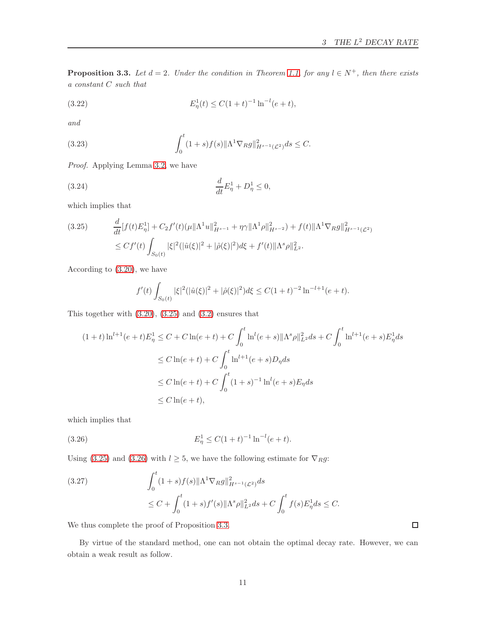<span id="page-10-2"></span>**Proposition 3.3.** Let  $d = 2$ . Under the condition in Theorem [1.1,](#page-3-1) for any  $l \in N^+$ , then there exists a constant C such that

(3.22) 
$$
E_{\eta}^{1}(t) \leq C(1+t)^{-1}\ln^{-l}(e+t),
$$

and

(3.23) 
$$
\int_0^t (1+s)f(s)\|\Lambda^1\nabla_R g\|_{H^{s-1}(\mathcal{L}^2)}^2 ds \leq C.
$$

Proof. Applying Lemma [3.2,](#page-9-1) we have

(3.24) 
$$
\frac{d}{dt}E_{\eta}^{1} + D_{\eta}^{1} \leq 0,
$$

which implies that

<span id="page-10-0"></span>
$$
(3.25) \qquad \frac{d}{dt}[f(t)E_{\eta}^{1}] + C_{2}f'(t)(\mu\|\Lambda^{1}u\|_{H^{s-1}}^{2} + \eta\gamma\|\Lambda^{1}\rho\|_{H^{s-2}}^{2}) + f(t)\|\Lambda^{1}\nabla_{R}g\|_{H^{s-1}(\mathcal{L}^{2})}^{2}
$$

$$
\leq Cf'(t)\int_{S_{0}(t)}|\xi|^{2}(|\hat{u}(\xi)|^{2} + |\hat{\rho}(\xi)|^{2})d\xi + f'(t)\|\Lambda^{s}\rho\|_{L^{2}}^{2}.
$$

According to [\(3.20\)](#page-9-2), we have

$$
f'(t)\int_{S_0(t)}|\xi|^2(|\hat{u}(\xi)|^2+|\hat{\rho}(\xi)|^2)d\xi \leq C(1+t)^{-2}\ln^{-l+1}(e+t).
$$

This together with [\(3.20\)](#page-9-2), [\(3.25\)](#page-10-0) and [\(3.2\)](#page-6-4) ensures that

$$
(1+t)\ln^{l+1}(e+t)E_{\eta}^{1} \le C + C\ln(e+t) + C\int_{0}^{t}\ln^{l}(e+s)\|\Lambda^{s}\rho\|_{L^{2}}^{2}ds + C\int_{0}^{t}\ln^{l+1}(e+s)E_{\eta}^{1}ds
$$
  

$$
\le C\ln(e+t) + C\int_{0}^{t}\ln^{l+1}(e+s)D_{\eta}ds
$$
  

$$
\le C\ln(e+t) + C\int_{0}^{t}(1+s)^{-1}\ln^{l}(e+s)E_{\eta}ds
$$
  

$$
\le C\ln(e+t),
$$

which implies that

<span id="page-10-1"></span>(3.26) 
$$
E_{\eta}^{1} \leq C(1+t)^{-1} \ln^{-l}(e+t).
$$

Using [\(3.25\)](#page-10-0) and [\(3.26\)](#page-10-1) with  $l \geq 5$ , we have the following estimate for  $\nabla_R g$ :

(3.27) 
$$
\int_0^t (1+s)f(s)\|\Lambda^1 \nabla_R g\|_{H^{s-1}(\mathcal{L}^2)}^2 ds
$$
  
 
$$
\leq C + \int_0^t (1+s)f'(s)\|\Lambda^s \rho\|_{L^2}^2 ds + C \int_0^t f(s)E_\eta^1 ds \leq C.
$$

We thus complete the proof of Proposition [3.3.](#page-10-2)

By virtue of the standard method, one can not obtain the optimal decay rate. However, we can obtain a weak result as follow.

 $\Box$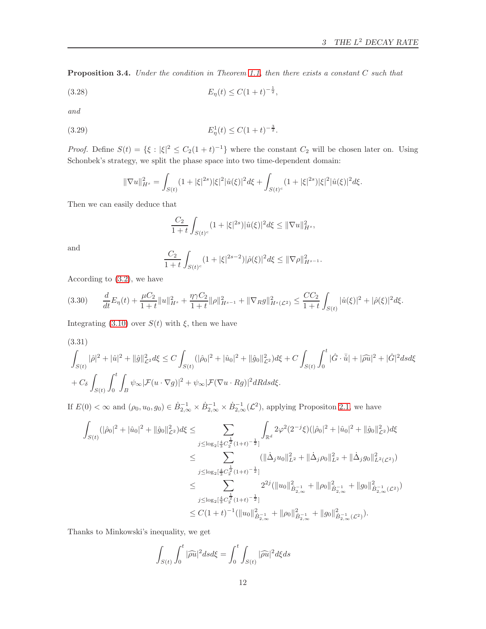<span id="page-11-2"></span>Proposition 3.4. Under the condition in Theorem [1.1,](#page-3-1) then there exists a constant C such that

$$
(3.28)\t\t\t E_{\eta}(t) \le C(1+t)^{-\frac{1}{2}},
$$

and

$$
(3.29) \t\t\t E_{\eta}^1(t) \le C(1+t)^{-\frac{3}{2}}.
$$

*Proof.* Define  $S(t) = \{\xi : |\xi|^2 \leq C_2(1+t)^{-1}\}\$  where the constant  $C_2$  will be chosen later on. Using Schonbek's strategy, we split the phase space into two time-dependent domain:

$$
\|\nabla u\|_{H^s}^2=\int_{S(t)}(1+|\xi|^{2s})|\xi|^2|\hat{u}(\xi)|^2d\xi+\int_{S(t)^c}(1+|\xi|^{2s})|\xi|^2|\hat{u}(\xi)|^2d\xi.
$$

Then we can easily deduce that

$$
\frac{C_2}{1+t} \int_{S(t)^c} (1+|\xi|^{2s}) |\hat{u}(\xi)|^2 d\xi \le ||\nabla u||_{H^s}^2,
$$

and

$$
\frac{C_2}{1+t}\int_{S(t)^c} (1+|\xi|^{2s-2})|\hat{\rho}(\xi)|^2 d\xi \le \|\nabla \rho\|_{H^{s-1}}^2.
$$

According to [\(3.2\)](#page-6-4), we have

<span id="page-11-1"></span>
$$
(3.30) \qquad \frac{d}{dt}E_{\eta}(t) + \frac{\mu C_2}{1+t}||u||_{H^s}^2 + \frac{\eta \gamma C_2}{1+t}||\rho||_{H^{s-1}}^2 + ||\nabla_R g||_{H^s(\mathcal{L}^2)}^2 \leq \frac{CC_2}{1+t} \int_{S(t)} |\hat{u}(\xi)|^2 + |\hat{\rho}(\xi)|^2 d\xi.
$$

Integrating [\(3.10\)](#page-7-3) over  $S(t)$  with  $\xi$ , then we have

<span id="page-11-0"></span>(3.31)  
\n
$$
\int_{S(t)} |\hat{\rho}|^2 + |\hat{u}|^2 + ||\hat{g}||_{\mathcal{L}^2}^2 d\xi \le C \int_{S(t)} (|\hat{\rho}_0|^2 + |\hat{u}_0|^2 + ||\hat{g}_0||_{\mathcal{L}^2}^2) d\xi + C \int_{S(t)} \int_0^t |\hat{G} \cdot \overline{\hat{u}}| + |\hat{\rho}\overline{\hat{u}}|^2 + |\hat{G}|^2 ds d\xi
$$
\n
$$
+ C_\delta \int_{S(t)} \int_0^t \int_B \psi_\infty |\mathcal{F}(u \cdot \nabla g)|^2 + \psi_\infty |\mathcal{F}(\nabla u \cdot Rg)|^2 dR ds d\xi.
$$

If  $E(0) < \infty$  and  $(\rho_0, u_0, g_0) \in \dot{B}_{2,\infty}^{-1} \times \dot{B}_{2,\infty}^{-1} \times \dot{B}_{2,\infty}^{-1}(\mathcal{L}^2)$ , applying Propositon [2.1,](#page-4-1) we have

$$
\begin{split} \int_{S(t)}(|\hat{\rho}_0|^2+|\hat{u}_0|^2+ \|\hat{g}_0\|_{\mathcal{L}^2}^2)d\xi &\leq \sum_{j\leq \log_2[\frac{4}{3}C_2^{\frac{1}{2}}(1+t)^{-\frac{1}{2}}]} \int_{\mathbb{R}^d} 2\varphi^2(2^{-j}\xi)(|\hat{\rho}_0|^2+|\hat{u}_0|^2+ \|\hat{g}_0\|_{\mathcal{L}^2}^2)d\xi \\ &\leq \sum_{j\leq \log_2[\frac{4}{3}C_2^{\frac{1}{2}}(1+t)^{-\frac{1}{2}}]}(||\dot{\Delta}_j u_0||_{L^2}^2+ \|\dot{\Delta}_j \rho_0\|_{L^2}^2+ \|\dot{\Delta}_j g_0\|_{L^2(\mathcal{L}^2)}^2)\\ &\leq \sum_{j\leq \log_2[\frac{4}{3}C_2^{\frac{1}{2}}(1+t)^{-\frac{1}{2}}]} 2^{2j}(\|u_0\|_{\dot{B}_{2,\infty}^{-1}}^2+\|\rho_0\|_{\dot{B}_{2,\infty}^{-1}}^2+\|g_0\|_{\dot{B}_{2,\infty}^{-1}(\mathcal{L}^2)}^2)\\ &\leq C(1+t)^{-1}(\|u_0\|_{\dot{B}_{2,\infty}^{-1}}^2+\|\rho_0\|_{\dot{B}_{2,\infty}^{-1}}^2+\|g_0\|_{\dot{B}_{2,\infty}^{-1}(\mathcal{L}^2)}^2). \end{split}
$$

Thanks to Minkowski's inequality, we get

$$
\int_{S(t)} \int_0^t |\widehat{\rho u}|^2 ds d\xi = \int_0^t \int_{S(t)} |\widehat{\rho u}|^2 d\xi ds
$$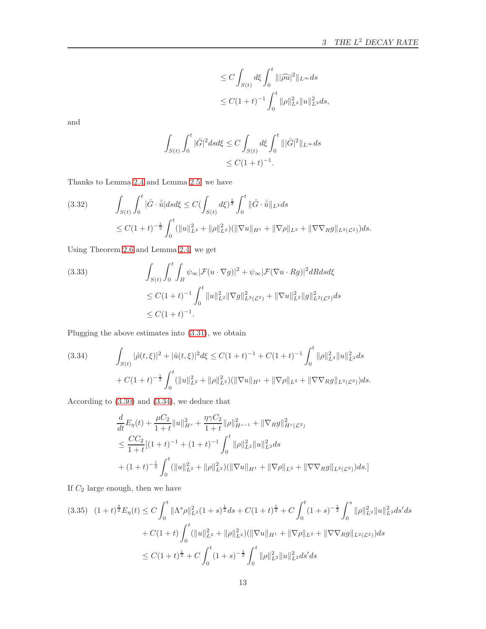$$
\leq C \int_{S(t)} d\xi \int_0^t |||\widehat{\rho u}|^2 ||_{L^{\infty}} ds
$$
  

$$
\leq C(1+t)^{-1} \int_0^t ||\rho||_{L^2}^2 ||u||_{L^2}^2 ds,
$$

and

$$
\int_{S(t)} \int_0^t |\hat{G}|^2 ds d\xi \le C \int_{S(t)} d\xi \int_0^t |||\hat{G}|^2 ||_{L^\infty} ds
$$
  

$$
\le C(1+t)^{-1}.
$$

Thanks to Lemma [2.4](#page-5-1) and Lemma [2.5,](#page-5-2) we have

$$
(3.32) \qquad \int_{S(t)} \int_0^t |\hat{G} \cdot \bar{\hat{u}}| ds d\xi \le C \left( \int_{S(t)} d\xi \right)^{\frac{1}{2}} \int_0^t ||\hat{G} \cdot \bar{\hat{u}}||_{L^2} ds
$$
  

$$
\le C(1+t)^{-\frac{1}{2}} \int_0^t (||u||_{L^2}^2 + ||\rho||_{L^2}^2) (||\nabla u||_{H^1} + ||\nabla \rho||_{L^2} + ||\nabla \nabla_R g||_{L^2(L^2)}) ds.
$$

Using Theorem [2.6](#page-5-0) and Lemma [2.4,](#page-5-1) we get

(3.33) 
$$
\int_{S(t)} \int_0^t \int_B \psi_\infty |\mathcal{F}(u \cdot \nabla g)|^2 + \psi_\infty |\mathcal{F}(\nabla u \cdot Rg)|^2 dR ds d\xi
$$
  
\n
$$
\leq C(1+t)^{-1} \int_0^t \|u\|_{L^2}^2 \|\nabla g\|_{L^2(\mathcal{L}^2)}^2 + \|\nabla u\|_{L^2}^2 \|g\|_{L^2(\mathcal{L}^2)}^2 ds
$$
  
\n
$$
\leq C(1+t)^{-1}.
$$

Plugging the above estimates into [\(3.31\)](#page-11-0), we obtain

<span id="page-12-0"></span>(3.34) 
$$
\int_{S(t)} |\hat{\rho}(t,\xi)|^2 + |\hat{u}(t,\xi)|^2 d\xi \leq C(1+t)^{-1} + C(1+t)^{-1} \int_0^t ||\rho||_{L^2}^2 ||u||_{L^2}^2 ds + C(1+t)^{-\frac{1}{2}} \int_0^t (||u||_{L^2}^2 + ||\rho||_{L^2}^2)(||\nabla u||_{H^1} + ||\nabla \rho||_{L^2} + ||\nabla \nabla_R g||_{L^2(L^2)}) ds.
$$

According to [\(3.30\)](#page-11-1) and [\(3.34\)](#page-12-0), we deduce that

$$
\frac{d}{dt}E_{\eta}(t) + \frac{\mu C_2}{1+t}||u||_{H^s}^2 + \frac{\eta \gamma C_2}{1+t}||\rho||_{H^{s-1}}^2 + ||\nabla_R g||_{H^s(\mathcal{L}^2)}^2
$$
\n
$$
\leq \frac{CC_2}{1+t}[(1+t)^{-1} + (1+t)^{-1} \int_0^t ||\rho||_{L^2}^2 ||u||_{L^2}^2 ds
$$
\n
$$
+ (1+t)^{-\frac{1}{2}} \int_0^t (||u||_{L^2}^2 + ||\rho||_{L^2}^2) (||\nabla u||_{H^1} + ||\nabla \rho||_{L^2} + ||\nabla \nabla_R g||_{L^2(\mathcal{L}^2)}) ds.]
$$

If  $C_2$  large enough, then we have

<span id="page-12-1"></span>
$$
(3.35) \quad (1+t)^{\frac{3}{2}}E_{\eta}(t) \le C \int_0^t \|\Lambda^s \rho\|_{L^2}^2 (1+s)^{\frac{1}{2}} ds + C(1+t)^{\frac{1}{2}} + C \int_0^t (1+s)^{-\frac{1}{2}} \int_0^s \|\rho\|_{L^2}^2 \|u\|_{L^2}^2 ds' ds
$$
  
+  $C(1+t) \int_0^t (\|u\|_{L^2}^2 + \|\rho\|_{L^2}^2) (\|\nabla u\|_{H^1} + \|\nabla \rho\|_{L^2} + \|\nabla \nabla_R g\|_{L^2(L^2)}) ds$   

$$
\le C(1+t)^{\frac{1}{2}} + C \int_0^t (1+s)^{-\frac{1}{2}} \int_0^t \|\rho\|_{L^2}^2 \|u\|_{L^2}^2 ds' ds
$$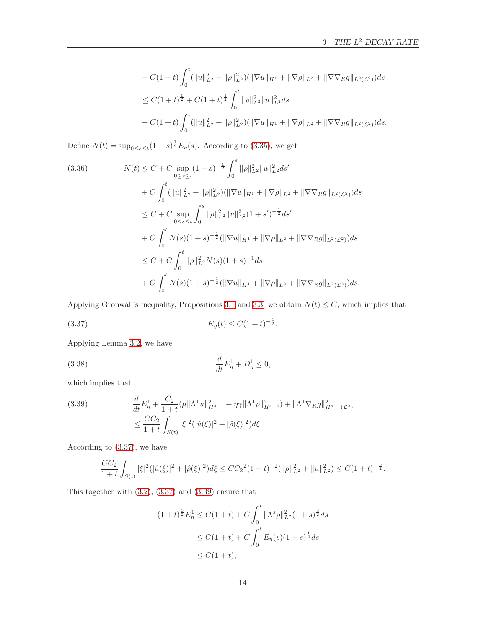$$
+ C(1+t) \int_0^t (||u||_{L^2}^2 + ||\rho||_{L^2}^2) (||\nabla u||_{H^1} + ||\nabla \rho||_{L^2} + ||\nabla \nabla_R g||_{L^2(\mathcal{L}^2)}) ds
$$
  
\n
$$
\leq C(1+t)^{\frac{1}{2}} + C(1+t)^{\frac{1}{2}} \int_0^t ||\rho||_{L^2}^2 ||u||_{L^2}^2 ds
$$
  
\n
$$
+ C(1+t) \int_0^t (||u||_{L^2}^2 + ||\rho||_{L^2}^2) (||\nabla u||_{H^1} + ||\nabla \rho||_{L^2} + ||\nabla \nabla_R g||_{L^2(\mathcal{L}^2)}) ds.
$$

Define  $N(t) = \sup_{0 \le s \le t} (1+s)^{\frac{1}{2}} E_{\eta}(s)$ . According to [\(3.35\)](#page-12-1), we get

$$
(3.36) \qquad N(t) \leq C + C \sup_{0 \leq s \leq t} (1+s)^{-\frac{1}{2}} \int_0^s \|\rho\|_{L^2}^2 \|u\|_{L^2}^2 ds'
$$
  
+ 
$$
C \int_0^t (||u||_{L^2}^2 + ||\rho||_{L^2}^2) (||\nabla u||_{H^1} + ||\nabla \rho||_{L^2} + ||\nabla \nabla_R g||_{L^2(L^2)}) ds
$$
  

$$
\leq C + C \sup_{0 \leq s \leq t} \int_0^s ||\rho||_{L^2}^2 \|u\|_{L^2}^2 (1+s')^{-\frac{1}{2}} ds'
$$
  
+ 
$$
C \int_0^t N(s)(1+s)^{-\frac{1}{2}} (||\nabla u||_{H^1} + ||\nabla \rho||_{L^2} + ||\nabla \nabla_R g||_{L^2(L^2)}) ds
$$
  

$$
\leq C + C \int_0^t ||\rho||_{L^2}^2 N(s)(1+s)^{-1} ds
$$
  
+ 
$$
C \int_0^t N(s)(1+s)^{-\frac{1}{2}} (||\nabla u||_{H^1} + ||\nabla \rho||_{L^2} + ||\nabla \nabla_R g||_{L^2(L^2)}) ds.
$$

Applying Gronwall's inequality, Propositions [3.1](#page-6-3) and [3.3,](#page-10-2) we obtain  $N(t) \leq C$ , which implies that

<span id="page-13-0"></span>
$$
(3.37) \t\t\t E_{\eta}(t) \le C(1+t)^{-\frac{1}{2}}.
$$

Applying Lemma [3.2,](#page-9-1) we have

(3.38) 
$$
\frac{d}{dt}E_{\eta}^{1} + D_{\eta}^{1} \leq 0,
$$

which implies that

<span id="page-13-1"></span>(3.39) 
$$
\frac{d}{dt} E_{\eta}^1 + \frac{C_2}{1+t} (\mu \| \Lambda^1 u \|_{H^{s-1}}^2 + \eta \gamma \| \Lambda^1 \rho \|_{H^{s-2}}^2) + \| \Lambda^1 \nabla_R g \|_{H^{s-1}(\mathcal{L}^2)}^2 \n\leq \frac{CC_2}{1+t} \int_{S(t)} |\xi|^2 (|\hat{u}(\xi)|^2 + |\hat{\rho}(\xi)|^2) d\xi.
$$

According to [\(3.37\)](#page-13-0), we have

$$
\frac{CC_2}{1+t} \int_{S(t)} |\xi|^2 (|\hat{u}(\xi)|^2 + |\hat{\rho}(\xi)|^2) d\xi \le CC_2^2 (1+t)^{-2} (||\rho||_{L^2}^2 + ||u||_{L^2}^2) \le C(1+t)^{-\frac{5}{2}}.
$$

This together with  $(3.2)$ ,  $(3.37)$  and  $(3.39)$  ensure that

$$
(1+t)^{\frac{5}{2}}E_{\eta}^{1} \leq C(1+t) + C \int_{0}^{t} \|\Lambda^{s}\rho\|_{L^{2}}^{2}(1+s)^{\frac{3}{2}}ds
$$
  
\n
$$
\leq C(1+t) + C \int_{0}^{t} E_{\eta}(s)(1+s)^{\frac{1}{2}}ds
$$
  
\n
$$
\leq C(1+t),
$$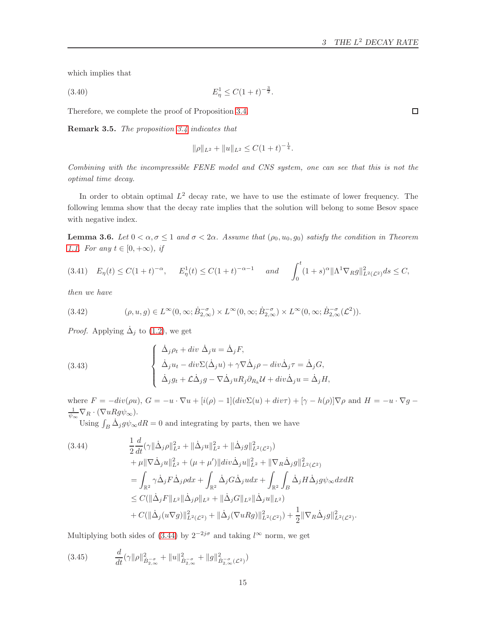which implies that

<span id="page-14-3"></span>
$$
(3.40) \t\t\t E_{\eta}^{1} \le C(1+t)^{-\frac{3}{2}}.
$$

Therefore, we complete the proof of Proposition [3.4.](#page-11-2)

Remark 3.5. The proposition [3.4](#page-11-2) indicates that

$$
\|\rho\|_{L^2} + \|u\|_{L^2} \le C(1+t)^{-\frac{1}{4}}.
$$

Combining with the incompressible FENE model and CNS system, one can see that this is not the optimal time decay.

In order to obtain optimal  $L^2$  decay rate, we have to use the estimate of lower frequency. The following lemma show that the decay rate implies that the solution will belong to some Besov space with negative index.

<span id="page-14-4"></span>**Lemma 3.6.** Let  $0 < \alpha, \sigma \leq 1$  and  $\sigma < 2\alpha$ . Assume that  $(\rho_0, u_0, g_0)$  satisfy the condition in Theorem [1.1.](#page-3-1) For any  $t \in [0, +\infty)$ , if

<span id="page-14-2"></span>
$$
(3.41) \quad E_{\eta}(t) \le C(1+t)^{-\alpha}, \qquad E_{\eta}^{1}(t) \le C(1+t)^{-\alpha-1} \qquad and \qquad \int_{0}^{t} (1+s)^{\alpha} \|\Lambda^{1} \nabla_{R} g\|_{L^{2}(\mathcal{L}^{2})}^{2} ds \le C,
$$

then we have

(3.42) 
$$
(\rho, u, g) \in L^{\infty}(0, \infty; \dot{B}_{2,\infty}^{-\sigma}) \times L^{\infty}(0, \infty; \dot{B}_{2,\infty}^{-\sigma}) \times L^{\infty}(0, \infty; \dot{B}_{2,\infty}^{-\sigma}(\mathcal{L}^2)).
$$

*Proof.* Applying  $\dot{\Delta}_j$  to [\(1.2\)](#page-1-2), we get

(3.43)  
\n
$$
\begin{cases}\n\dot{\Delta}_j \rho_t + div \, \dot{\Delta}_j u = \dot{\Delta}_j F, \\
\dot{\Delta}_j u_t - div \Sigma (\dot{\Delta}_j u) + \gamma \nabla \dot{\Delta}_j \rho - div \dot{\Delta}_j \tau = \dot{\Delta}_j G, \\
\dot{\Delta}_j g_t + \mathcal{L} \dot{\Delta}_j g - \nabla \dot{\Delta}_j u R_j \partial_{R_k} \mathcal{U} + div \dot{\Delta}_j u = \dot{\Delta}_j H,\n\end{cases}
$$

where  $F = -div(\rho u)$ ,  $G = -u \cdot \nabla u + [i(\rho) - 1](div\Sigma(u) + div\tau) + [\gamma - h(\rho)]\nabla \rho$  and  $H = -u \cdot \nabla g$  $\frac{1}{\psi_{\infty}}\nabla_R\cdot(\nabla uRg\psi_{\infty}).$ 

Using  $\int_B \dot{\Delta}_j g \psi_\infty dR = 0$  and integrating by parts, then we have

<span id="page-14-0"></span>
$$
(3.44) \qquad \frac{1}{2} \frac{d}{dt} (\gamma \|\dot{\Delta}_{j}\rho\|_{L^{2}}^{2} + \|\dot{\Delta}_{j}u\|_{L^{2}}^{2} + \|\dot{\Delta}_{j}g\|_{L^{2}(\mathcal{L}^{2})}^{2}) \n+ \mu \|\nabla \dot{\Delta}_{j}u\|_{L^{2}}^{2} + (\mu + \mu')\|div\dot{\Delta}_{j}u\|_{L^{2}}^{2} + \|\nabla_{R}\dot{\Delta}_{j}g\|_{L^{2}(\mathcal{L}^{2})}^{2} \n= \int_{\mathbb{R}^{2}} \gamma \dot{\Delta}_{j} F \dot{\Delta}_{j} \rho dx + \int_{\mathbb{R}^{2}} \dot{\Delta}_{j} G \dot{\Delta}_{j} u dx + \int_{\mathbb{R}^{2}} \int_{B} \dot{\Delta}_{j} H \dot{\Delta}_{j} g \psi_{\infty} dx dR \n\leq C(\|\dot{\Delta}_{j}F\|_{L^{2}} \|\dot{\Delta}_{j}\rho\|_{L^{2}} + \|\dot{\Delta}_{j}G\|_{L^{2}} \|\dot{\Delta}_{j}u\|_{L^{2}}) \n+ C(\|\dot{\Delta}_{j}(u\nabla g)\|_{L^{2}(\mathcal{L}^{2})}^{2} + \|\dot{\Delta}_{j}(\nabla u R g)\|_{L^{2}(\mathcal{L}^{2})}^{2}) + \frac{1}{2} \|\nabla_{R}\dot{\Delta}_{j}g\|_{L^{2}(\mathcal{L}^{2})}^{2}.
$$

Multiplying both sides of [\(3.44\)](#page-14-0) by  $2^{-2j\sigma}$  and taking  $l^{\infty}$  norm, we get

<span id="page-14-1"></span>
$$
(3.45) \qquad \frac{d}{dt}(\gamma \|\rho\|_{\dot{B}_{2,\infty}^{-\sigma}}^2 + \|u\|_{\dot{B}_{2,\infty}^{-\sigma}}^2 + \|g\|_{\dot{B}_{2,\infty}^{-\sigma}}^2(\mathcal{L}^2))
$$

d

 $\Box$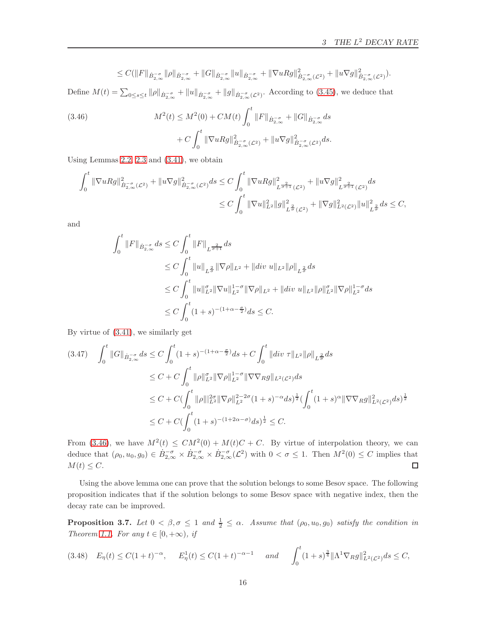$$
\leq C(\|F\|_{\dot{B}^{-\sigma}_{2,\infty}}\|\rho\|_{\dot{B}^{-\sigma}_{2,\infty}}+\|G\|_{\dot{B}^{-\sigma}_{2,\infty}}\|u\|_{\dot{B}^{-\sigma}_{2,\infty}}+\|\nabla uRg\|_{\dot{B}^{-\sigma}_{2,\infty}(\mathcal{L}^2)}^2+\|u\nabla g\|_{\dot{B}^{-\sigma}_{2,\infty}(\mathcal{L}^2)}^2).
$$

Define  $M(t) = \sum_{0 \le s \le t} ||\rho||_{\dot{B}_{2,\infty}^{-\sigma}} + ||u||_{\dot{B}_{2,\infty}^{-\sigma}} + ||g||_{\dot{B}_{2,\infty}^{-\sigma}(\mathcal{L}^2)}$ . According to [\(3.45\)](#page-14-1), we deduce that

<span id="page-15-0"></span>(3.46) 
$$
M^{2}(t) \leq M^{2}(0) + CM(t) \int_{0}^{t} ||F||_{\dot{B}_{2,\infty}^{-\sigma}} + ||G||_{\dot{B}_{2,\infty}^{-\sigma}} ds + C \int_{0}^{t} ||\nabla uRg||_{\dot{B}_{2,\infty}^{-\sigma}(\mathcal{L}^{2})}^{2} + ||u\nabla g||_{\dot{B}_{2,\infty}^{-\sigma}(\mathcal{L}^{2})}^{2} ds.
$$

Using Lemmas [2.2,](#page-5-3) [2.3](#page-5-4) and [\(3.41\)](#page-14-2), we obtain

$$
\int_0^t \|\nabla uRg\|_{\dot{B}^{-\sigma}_{2,\infty}(\mathcal{L}^2)}^2 + \|u\nabla g\|_{\dot{B}^{-\sigma}_{2,\infty}(\mathcal{L}^2)}^2 ds \leq C \int_0^t \|\nabla uRg\|_{L^{\frac{2}{\sigma+1}}(\mathcal{L}^2)}^2 + \|u\nabla g\|_{L^{\frac{2}{\sigma+1}}(\mathcal{L}^2)}^2 ds
$$
  

$$
\leq C \int_0^t \|\nabla u\|_{L^2}^2 \|g\|_{L^{\frac{2}{\sigma}}(\mathcal{L}^2)}^2 + \|\nabla g\|_{L^2(\mathcal{L}^2)}^2 \|u\|_{L^{\frac{2}{\sigma}}}^2 ds \leq C,
$$

and

$$
\int_0^t \|F\|_{\dot{B}_{2,\infty}^{-\sigma}} ds \le C \int_0^t \|F\|_{L^{\frac{2}{\sigma+1}}} ds
$$
  
\n
$$
\le C \int_0^t \|u\|_{L^{\frac{2}{\sigma}}} \|\nabla \rho\|_{L^2} + \|div \, u\|_{L^2} \|\rho\|_{L^{\frac{2}{\sigma}}} ds
$$
  
\n
$$
\le C \int_0^t \|u\|_{L^2}^{\sigma} \|\nabla u\|_{L^2}^{1-\sigma} \|\nabla \rho\|_{L^2} + \|div \, u\|_{L^2} \|\rho\|_{L^2}^{\sigma} \|\nabla \rho\|_{L^2}^{1-\sigma} ds
$$
  
\n
$$
\le C \int_0^t (1+s)^{-(1+\alpha-\frac{\sigma}{2})} ds \le C.
$$

By virtue of [\(3.41\)](#page-14-2), we similarly get

$$
(3.47) \quad \int_0^t ||G||_{\dot{B}_{2,\infty}^{-\sigma}} ds \le C \int_0^t (1+s)^{-(1+\alpha-\frac{\sigma}{2})} ds + C \int_0^t ||div \tau||_{L^2} ||\rho||_{L^{\frac{2}{\sigma}}} ds
$$
  
\n
$$
\le C + C \int_0^t ||\rho||_{L^2}^{\sigma} ||\nabla \rho||_{L^2}^{1-\sigma} ||\nabla \nabla_R g||_{L^2(L^2)} ds
$$
  
\n
$$
\le C + C (\int_0^t ||\rho||_{L^2}^{2\sigma} ||\nabla \rho||_{L^2}^{2-2\sigma} (1+s)^{-\alpha} ds)^{\frac{1}{2}} (\int_0^t (1+s)^{\alpha} ||\nabla \nabla_R g||_{L^2(L^2)}^2 ds)^{\frac{1}{2}}
$$
  
\n
$$
\le C + C (\int_0^t (1+s)^{-(1+2\alpha-\sigma)} ds)^{\frac{1}{2}} \le C.
$$

From [\(3.46\)](#page-15-0), we have  $M^2(t) \leq CM^2(0) + M(t)C + C$ . By virtue of interpolation theory, we can deduce that  $(\rho_0, u_0, g_0) \in \dot{B}^{-\sigma}_{2,\infty} \times \dot{B}^{-\sigma}_{2,\infty} \times \dot{B}^{-\sigma}_{2,\infty} (\mathcal{L}^2)$  with  $0 < \sigma \leq 1$ . Then  $M^2(0) \leq C$  implies that  $M(t) \leq C.$  $\Box$ 

Using the above lemma one can prove that the solution belongs to some Besov space. The following proposition indicates that if the solution belongs to some Besov space with negative index, then the decay rate can be improved.

<span id="page-15-2"></span>**Proposition 3.7.** Let  $0 < \beta, \sigma \leq 1$  and  $\frac{1}{2} \leq \alpha$ . Assume that  $(\rho_0, u_0, g_0)$  satisfy the condition in Theorem [1.1.](#page-3-1) For any  $t \in [0, +\infty)$ , if

<span id="page-15-1"></span>
$$
(3.48)\quad E_{\eta}(t) \le C(1+t)^{-\alpha}, \qquad E_{\eta}^{1}(t) \le C(1+t)^{-\alpha-1} \qquad and \qquad \int_{0}^{t} (1+s)^{\frac{3}{4}} \|\Lambda^{1} \nabla_{R} g\|_{L^{2}(\mathcal{L}^{2})}^{2} ds \le C,
$$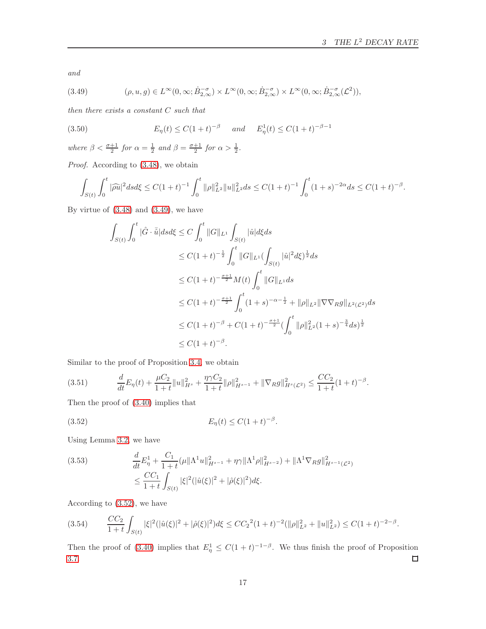and

<span id="page-16-0"></span>(3.49) 
$$
(\rho, u, g) \in L^{\infty}(0, \infty; \dot{B}_{2,\infty}^{-\sigma}) \times L^{\infty}(0, \infty; \dot{B}_{2,\infty}^{-\sigma}) \times L^{\infty}(0, \infty; \dot{B}_{2,\infty}^{-\sigma}(\mathcal{L}^2)),
$$

then there exists a constant C such that

(3.50) 
$$
E_{\eta}(t) \leq C(1+t)^{-\beta} \quad \text{and} \quad E_{\eta}^{1}(t) \leq C(1+t)^{-\beta-1}
$$

where  $\beta < \frac{\sigma+1}{2}$  for  $\alpha = \frac{1}{2}$  and  $\beta = \frac{\sigma+1}{2}$  for  $\alpha > \frac{1}{2}$ .

Proof. According to  $(3.48)$ , we obtain

$$
\int_{S(t)} \int_0^t |\widehat{\rho u}|^2 ds d\xi \le C(1+t)^{-1} \int_0^t \|\rho\|_{L^2}^2 \|u\|_{L^2}^2 ds \le C(1+t)^{-1} \int_0^t (1+s)^{-2\alpha} ds \le C(1+t)^{-\beta}.
$$

By virtue of  $(3.48)$  and  $(3.49)$ , we have

$$
\int_{S(t)} \int_0^t |\hat{G} \cdot \bar{\hat{u}}| ds d\xi \le C \int_0^t ||G||_{L^1} \int_{S(t)} |\hat{u}| d\xi ds
$$
  
\n
$$
\le C(1+t)^{-\frac{1}{2}} \int_0^t ||G||_{L^1} (\int_{S(t)} |\hat{u}|^2 d\xi)^{\frac{1}{2}} ds
$$
  
\n
$$
\le C(1+t)^{-\frac{\sigma+1}{2}} M(t) \int_0^t ||G||_{L^1} ds
$$
  
\n
$$
\le C(1+t)^{-\frac{\sigma+1}{2}} \int_0^t (1+s)^{-\alpha-\frac{1}{2}} + ||\rho||_{L^2} ||\nabla \nabla_R g||_{L^2(L^2)} ds
$$
  
\n
$$
\le C(1+t)^{-\beta} + C(1+t)^{-\frac{\sigma+1}{2}} (\int_0^t ||\rho||_{L^2}^2 (1+s)^{-\frac{3}{4}} ds)^{\frac{1}{2}}
$$
  
\n
$$
\le C(1+t)^{-\beta}.
$$

Similar to the proof of Proposition [3.4,](#page-11-2) we obtain

$$
(3.51) \t\t \t\t \frac{d}{dt} E_{\eta}(t) + \frac{\mu C_2}{1+t} \|u\|_{H^s}^2 + \frac{\eta \gamma C_2}{1+t} \|\rho\|_{H^{s-1}}^2 + \|\nabla_R g\|_{H^s(\mathcal{L}^2)}^2 \leq \frac{CC_2}{1+t} (1+t)^{-\beta}.
$$

Then the proof of [\(3.40\)](#page-14-3) implies that

<span id="page-16-1"></span>(3.52) 
$$
E_{\eta}(t) \leq C(1+t)^{-\beta}.
$$

Using Lemma [3.2,](#page-9-1) we have

(3.53) 
$$
\frac{d}{dt} E_{\eta}^{1} + \frac{C_{1}}{1+t} (\mu \| \Lambda^{1} u \|_{H^{s-1}}^{2} + \eta \gamma \| \Lambda^{1} \rho \|_{H^{s-2}}^{2}) + \| \Lambda^{1} \nabla_{R} g \|_{H^{s-1}(\mathcal{L}^{2})}^{2}
$$

$$
\leq \frac{CC_{1}}{1+t} \int_{S(t)} |\xi|^{2} (|\hat{u}(\xi)|^{2} + |\hat{\rho}(\xi)|^{2}) d\xi.
$$

According to [\(3.52\)](#page-16-1), we have

$$
(3.54) \qquad \frac{CC_2}{1+t}\int_{S(t)}|\xi|^2(|\hat{u}(\xi)|^2+|\hat{\rho}(\xi)|^2)d\xi \le CC_2^2(1+t)^{-2}(\|\rho\|_{L^2}^2+\|u\|_{L^2}^2) \le C(1+t)^{-2-\beta}.
$$

Then the proof of [\(3.40\)](#page-14-3) implies that  $E^1_\eta \leq C(1+t)^{-1-\beta}$ . We thus finish the proof of Proposition [3.7.](#page-15-2)  $\Box$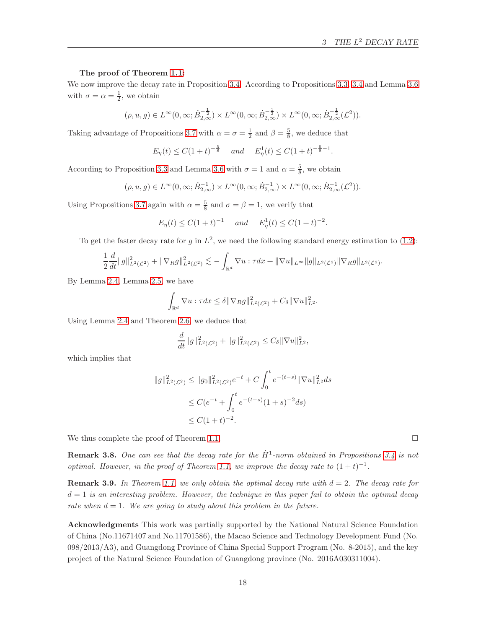#### The proof of Theorem [1.1:](#page-3-1)

We now improve the decay rate in Proposition [3.4.](#page-11-2) According to Propositions [3.3,](#page-10-2) [3.4](#page-11-2) and Lemma [3.6](#page-14-4) with  $\sigma = \alpha = \frac{1}{2}$ , we obtain

$$
(\rho, u, g) \in L^{\infty}(0, \infty; \dot{B}_{2,\infty}^{-\frac{1}{2}}) \times L^{\infty}(0, \infty; \dot{B}_{2,\infty}^{-\frac{1}{2}}) \times L^{\infty}(0, \infty; \dot{B}_{2,\infty}^{-\frac{1}{2}}(\mathcal{L}^2)).
$$

Taking advantage of Propositions [3.7](#page-15-2) with  $\alpha = \sigma = \frac{1}{2}$  and  $\beta = \frac{5}{8}$ , we deduce that

$$
E_{\eta}(t) \leq C(1+t)^{-\frac{5}{8}}
$$
 and  $E_{\eta}^{1}(t) \leq C(1+t)^{-\frac{5}{8}-1}$ .

According to Proposition [3.3](#page-10-2) and Lemma [3.6](#page-14-4) with  $\sigma = 1$  and  $\alpha = \frac{5}{8}$ , we obtain

$$
(\rho, u, g) \in L^{\infty}(0, \infty; \dot{B}_{2,\infty}^{-1}) \times L^{\infty}(0, \infty; \dot{B}_{2,\infty}^{-1}) \times L^{\infty}(0, \infty; \dot{B}_{2,\infty}^{-1}(\mathcal{L}^2)).
$$

Using Propositions [3.7](#page-15-2) again with  $\alpha = \frac{5}{8}$  and  $\sigma = \beta = 1$ , we verify that

$$
E_{\eta}(t) \le C(1+t)^{-1}
$$
 and  $E_{\eta}^{1}(t) \le C(1+t)^{-2}$ .

To get the faster decay rate for g in  $L^2$ , we need the following standard energy estimation to [\(1.2\)](#page-1-2):

$$
\frac{1}{2}\frac{d}{dt}||g||_{L^{2}(\mathcal{L}^{2})}^{2}+||\nabla_{R}g||_{L^{2}(\mathcal{L}^{2})}^{2}\lesssim-\int_{\mathbb{R}^{d}}\nabla u:\tau dx+\|\nabla u\|_{L^{\infty}}||g||_{L^{2}(\mathcal{L}^{2})}||\nabla_{R}g||_{L^{2}(\mathcal{L}^{2})}.
$$

By Lemma [2.4,](#page-5-1) Lemma [2.5,](#page-5-2) we have

$$
\int_{\mathbb{R}^d} \nabla u : \tau dx \leq \delta \|\nabla_R g\|_{L^2(\mathcal{L}^2)}^2 + C_{\delta} \|\nabla u\|_{L^2}^2.
$$

Using Lemma [2.4](#page-5-1) and Theorem [2.6,](#page-5-0) we deduce that

$$
\frac{d}{dt}||g||_{L^2(\mathcal{L}^2)}^2 + ||g||_{L^2(\mathcal{L}^2)}^2 \leq C_\delta ||\nabla u||_{L^2}^2,
$$

which implies that

$$
||g||_{L^{2}(\mathcal{L}^{2})}^{2} \le ||g_{0}||_{L^{2}(\mathcal{L}^{2})}^{2}e^{-t} + C \int_{0}^{t} e^{-(t-s)} ||\nabla u||_{L^{2}}^{2} ds
$$
  
\n
$$
\le C(e^{-t} + \int_{0}^{t} e^{-(t-s)}(1+s)^{-2} ds)
$$
  
\n
$$
\le C(1+t)^{-2}.
$$

We thus complete the proof of Theorem [1.1.](#page-3-1)

**Remark 3.8.** One can see that the decay rate for the  $\dot{H}^1$ -norm obtained in Propositions [3.4](#page-11-2) is not optimal. However, in the proof of Theorem [1.1,](#page-3-1) we improve the decay rate to  $(1 + t)^{-1}$ .

**Remark 3.9.** In Theorem [1.1,](#page-3-1) we only obtain the optimal decay rate with  $d = 2$ . The decay rate for  $d = 1$  is an interesting problem. However, the technique in this paper fail to obtain the optimal decay rate when  $d = 1$ . We are going to study about this problem in the future.

<span id="page-17-0"></span>Acknowledgments This work was partially supported by the National Natural Science Foundation of China (No.11671407 and No.11701586), the Macao Science and Technology Development Fund (No. 098/2013/A3), and Guangdong Province of China Special Support Program (No. 8-2015), and the key project of the Natural Science Foundation of Guangdong province (No. 2016A030311004).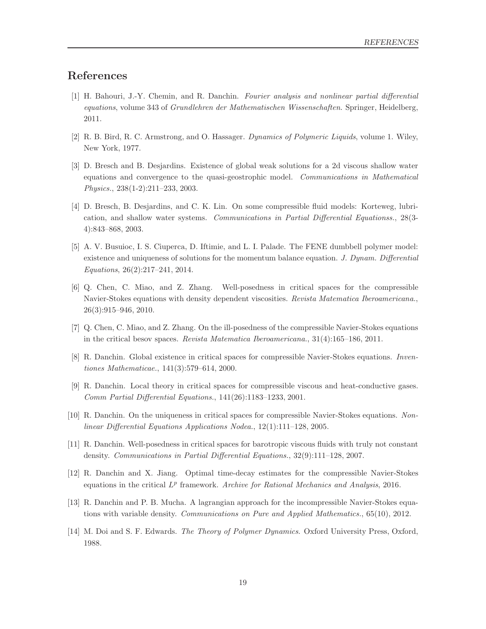## <span id="page-18-13"></span>References

- [1] H. Bahouri, J.-Y. Chemin, and R. Danchin. Fourier analysis and nonlinear partial differential equations, volume 343 of Grundlehren der Mathematischen Wissenschaften. Springer, Heidelberg, 2011.
- <span id="page-18-3"></span><span id="page-18-0"></span>[2] R. B. Bird, R. C. Armstrong, and O. Hassager. Dynamics of Polymeric Liquids, volume 1. Wiley, New York, 1977.
- [3] D. Bresch and B. Desjardins. Existence of global weak solutions for a 2d viscous shallow water equations and convergence to the quasi-geostrophic model. Communications in Mathematical Physics., 238(1-2):211–233, 2003.
- <span id="page-18-4"></span>[4] D. Bresch, B. Desjardins, and C. K. Lin. On some compressible fluid models: Korteweg, lubrication, and shallow water systems. Communications in Partial Differential Equationss., 28(3- 4):843–868, 2003.
- <span id="page-18-2"></span>[5] A. V. Busuioc, I. S. Ciuperca, D. Iftimie, and L. I. Palade. The FENE dumbbell polymer model: existence and uniqueness of solutions for the momentum balance equation. J. Dynam. Differential Equations, 26(2):217–241, 2014.
- <span id="page-18-10"></span>[6] Q. Chen, C. Miao, and Z. Zhang. Well-posedness in critical spaces for the compressible Navier-Stokes equations with density dependent viscosities. Revista Matematica Iberoamericana., 26(3):915–946, 2010.
- <span id="page-18-11"></span><span id="page-18-5"></span>[7] Q. Chen, C. Miao, and Z. Zhang. On the ill-posedness of the compressible Navier-Stokes equations in the critical besov spaces. Revista Matematica Iberoamericana., 31(4):165–186, 2011.
- <span id="page-18-6"></span>[8] R. Danchin. Global existence in critical spaces for compressible Navier-Stokes equations. Inventiones Mathematicae., 141(3):579–614, 2000.
- <span id="page-18-7"></span>[9] R. Danchin. Local theory in critical spaces for compressible viscous and heat-conductive gases. Comm Partial Differential Equations., 141(26):1183–1233, 2001.
- <span id="page-18-8"></span>[10] R. Danchin. On the uniqueness in critical spaces for compressible Navier-Stokes equations. Nonlinear Differential Equations Applications Nodea., 12(1):111–128, 2005.
- <span id="page-18-12"></span>[11] R. Danchin. Well-posedness in critical spaces for barotropic viscous fluids with truly not constant density. Communications in Partial Differential Equations., 32(9):111–128, 2007.
- <span id="page-18-9"></span>[12] R. Danchin and X. Jiang. Optimal time-decay estimates for the compressible Navier-Stokes equations in the critical  $L^p$  framework. Archive for Rational Mechanics and Analysis, 2016.
- <span id="page-18-1"></span>[13] R. Danchin and P. B. Mucha. A lagrangian approach for the incompressible Navier-Stokes equations with variable density. Communications on Pure and Applied Mathematics., 65(10), 2012.
- [14] M. Doi and S. F. Edwards. The Theory of Polymer Dynamics. Oxford University Press, Oxford, 1988.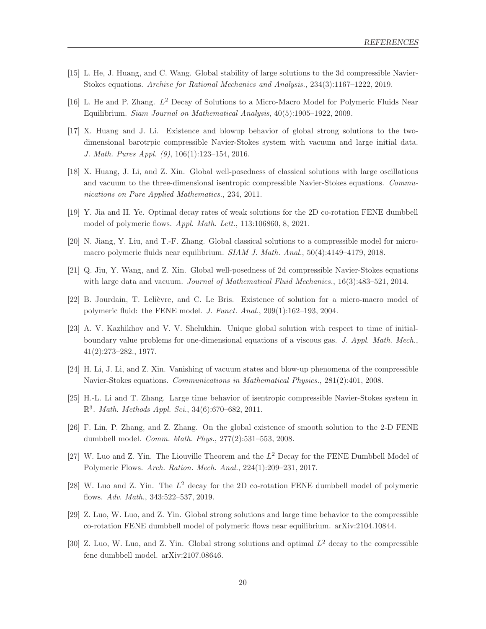- <span id="page-19-15"></span><span id="page-19-10"></span>[15] L. He, J. Huang, and C. Wang. Global stability of large solutions to the 3d compressible Navier-Stokes equations. Archive for Rational Mechanics and Analysis., 234(3):1167–1222, 2019.
- <span id="page-19-6"></span>[16] L. He and P. Zhang.  $L^2$  Decay of Solutions to a Micro-Macro Model for Polymeric Fluids Near Equilibrium. Siam Journal on Mathematical Analysis, 40(5):1905–1922, 2009.
- [17] X. Huang and J. Li. Existence and blowup behavior of global strong solutions to the twodimensional barotrpic compressible Navier-Stokes system with vacuum and large initial data. J. Math. Pures Appl. (9), 106(1):123–154, 2016.
- <span id="page-19-8"></span>[18] X. Huang, J. Li, and Z. Xin. Global well-posedness of classical solutions with large oscillations and vacuum to the three-dimensional isentropic compressible Navier-Stokes equations. Communications on Pure Applied Mathematics., 234, 2011.
- <span id="page-19-12"></span><span id="page-19-4"></span>[19] Y. Jia and H. Ye. Optimal decay rates of weak solutions for the 2D co-rotation FENE dumbbell model of polymeric flows. Appl. Math. Lett., 113:106860, 8, 2021.
- <span id="page-19-7"></span>[20] N. Jiang, Y. Liu, and T.-F. Zhang. Global classical solutions to a compressible model for micromacro polymeric fluids near equilibrium. SIAM J. Math. Anal., 50(4):4149–4179, 2018.
- <span id="page-19-0"></span>[21] Q. Jiu, Y. Wang, and Z. Xin. Global well-posedness of 2d compressible Navier-Stokes equations with large data and vacuum. *Journal of Mathematical Fluid Mechanics.*, 16(3):483–521, 2014.
- <span id="page-19-5"></span>[22] B. Jourdain, T. Lelièvre, and C. Le Bris. Existence of solution for a micro-macro model of polymeric fluid: the FENE model. J. Funct. Anal., 209(1):162–193, 2004.
- [23] A. V. Kazhikhov and V. V. Shelukhin. Unique global solution with respect to time of initialboundary value problems for one-dimensional equations of a viscous gas. J. Appl. Math. Mech., 41(2):273–282., 1977.
- <span id="page-19-11"></span><span id="page-19-9"></span>[24] H. Li, J. Li, and Z. Xin. Vanishing of vacuum states and blow-up phenomena of the compressible Navier-Stokes equations. Communications in Mathematical Physics., 281(2):401, 2008.
- <span id="page-19-1"></span>[25] H.-L. Li and T. Zhang. Large time behavior of isentropic compressible Navier-Stokes system in  $\mathbb{R}^3$ . Math. Methods Appl. Sci., 34(6):670–682, 2011.
- <span id="page-19-2"></span>[26] F. Lin, P. Zhang, and Z. Zhang. On the global existence of smooth solution to the 2-D FENE dumbbell model. Comm. Math. Phys., 277(2):531–553, 2008.
- <span id="page-19-3"></span>[27] W. Luo and Z. Yin. The Liouville Theorem and the  $L^2$  Decay for the FENE Dumbbell Model of Polymeric Flows. Arch. Ration. Mech. Anal., 224(1):209–231, 2017.
- <span id="page-19-14"></span>[28] W. Luo and Z. Yin. The  $L^2$  decay for the 2D co-rotation FENE dumbbell model of polymeric flows. Adv. Math., 343:522–537, 2019.
- <span id="page-19-13"></span>[29] Z. Luo, W. Luo, and Z. Yin. Global strong solutions and large time behavior to the compressible co-rotation FENE dumbbell model of polymeric flows near equilibrium. arXiv:2104.10844.
- [30] Z. Luo, W. Luo, and Z. Yin. Global strong solutions and optimal  $L^2$  decay to the compressible fene dumbbell model. arXiv:2107.08646.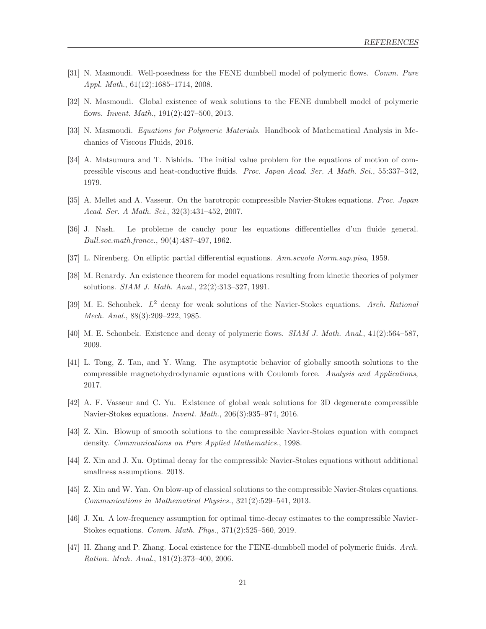- <span id="page-20-1"></span><span id="page-20-0"></span>[31] N. Masmoudi. Well-posedness for the FENE dumbbell model of polymeric flows. Comm. Pure Appl. Math., 61(12):1685–1714, 2008.
- <span id="page-20-14"></span>[32] N. Masmoudi. Global existence of weak solutions to the FENE dumbbell model of polymeric flows. Invent. Math., 191(2):427–500, 2013.
- <span id="page-20-7"></span>[33] N. Masmoudi. Equations for Polymeric Materials. Handbook of Mathematical Analysis in Mechanics of Viscous Fluids, 2016.
- [34] A. Matsumura and T. Nishida. The initial value problem for the equations of motion of compressible viscous and heat-conductive fluids. Proc. Japan Acad. Ser. A Math. Sci., 55:337–342, 1979.
- <span id="page-20-10"></span><span id="page-20-6"></span>[35] A. Mellet and A. Vasseur. On the barotropic compressible Navier-Stokes equations. Proc. Japan Acad. Ser. A Math. Sci., 32(3):431–452, 2007.
- <span id="page-20-16"></span>[36] J. Nash. Le probleme de cauchy pour les equations differentielles d'un fluide general. Bull.soc.math.france., 90(4):487–497, 1962.
- <span id="page-20-2"></span>[37] L. Nirenberg. On elliptic partial differential equations. Ann.scuola Norm.sup.pisa, 1959.
- <span id="page-20-5"></span>[38] M. Renardy. An existence theorem for model equations resulting from kinetic theories of polymer solutions. SIAM J. Math. Anal., 22(2):313–327, 1991.
- <span id="page-20-4"></span>[39] M. E. Schonbek.  $L^2$  decay for weak solutions of the Navier-Stokes equations. Arch. Rational Mech. Anal., 88(3):209–222, 1985.
- <span id="page-20-15"></span>[40] M. E. Schonbek. Existence and decay of polymeric flows. SIAM J. Math. Anal., 41(2):564–587, 2009.
- [41] L. Tong, Z. Tan, and Y. Wang. The asymptotic behavior of globally smooth solutions to the compressible magnetohydrodynamic equations with Coulomb force. Analysis and Applications, 2017.
- <span id="page-20-11"></span><span id="page-20-8"></span>[42] A. F. Vasseur and C. Yu. Existence of global weak solutions for 3D degenerate compressible Navier-Stokes equations. Invent. Math., 206(3):935–974, 2016.
- <span id="page-20-13"></span>[43] Z. Xin. Blowup of smooth solutions to the compressible Navier-Stokes equation with compact density. Communications on Pure Applied Mathematics., 1998.
- <span id="page-20-9"></span>[44] Z. Xin and J. Xu. Optimal decay for the compressible Navier-Stokes equations without additional smallness assumptions. 2018.
- <span id="page-20-12"></span>[45] Z. Xin and W. Yan. On blow-up of classical solutions to the compressible Navier-Stokes equations. Communications in Mathematical Physics., 321(2):529–541, 2013.
- <span id="page-20-3"></span>[46] J. Xu. A low-frequency assumption for optimal time-decay estimates to the compressible Navier-Stokes equations. Comm. Math. Phys., 371(2):525–560, 2019.
- [47] H. Zhang and P. Zhang. Local existence for the FENE-dumbbell model of polymeric fluids. Arch. Ration. Mech. Anal., 181(2):373–400, 2006.